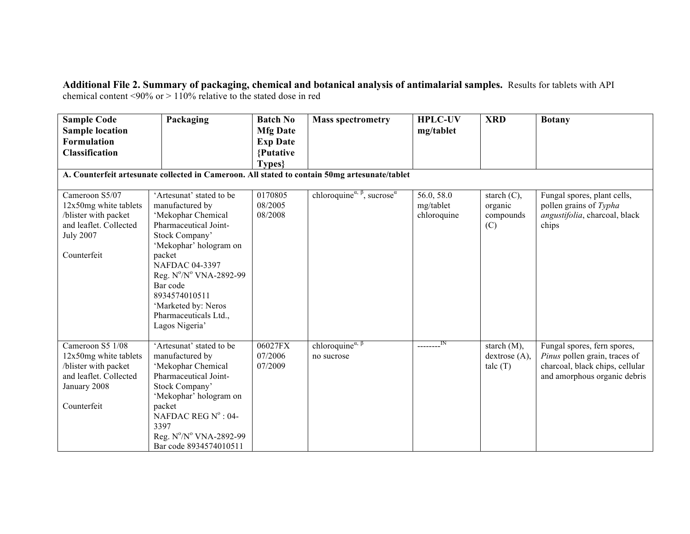## **Additional File 2. Summary of packaging, chemical and botanical analysis of antimalarial samples.** Results for tablets with API chemical content <90% or > 110% relative to the stated dose in red

| <b>Sample Code</b><br><b>Sample location</b> | Packaging                               | <b>Batch No</b><br><b>Mfg Date</b> | <b>Mass spectrometry</b>                                                                                | <b>HPLC-UV</b><br>mg/tablet | <b>XRD</b>     | <b>Botany</b>                   |
|----------------------------------------------|-----------------------------------------|------------------------------------|---------------------------------------------------------------------------------------------------------|-----------------------------|----------------|---------------------------------|
| <b>Formulation</b>                           |                                         | <b>Exp Date</b>                    |                                                                                                         |                             |                |                                 |
| <b>Classification</b>                        |                                         | {Putative                          |                                                                                                         |                             |                |                                 |
|                                              |                                         | Types}                             |                                                                                                         |                             |                |                                 |
|                                              |                                         |                                    | A. Counterfeit artesunate collected in Cameroon. All stated to contain 50mg artesunate/tablet           |                             |                |                                 |
| Cameroon S5/07                               | 'Artesunat' stated to be                | 0170805                            | chloroquine <sup><math>\alpha</math>, <math>\beta</math></sup> , sucrose <sup><math>\alpha</math></sup> | 56.0, 58.0                  | starch $(C)$ , | Fungal spores, plant cells,     |
| 12x50mg white tablets                        | manufactured by                         | 08/2005                            |                                                                                                         | mg/tablet                   | organic        | pollen grains of Typha          |
| /blister with packet                         | 'Mekophar Chemical                      | 08/2008                            |                                                                                                         | chloroquine                 | compounds      | angustifolia, charcoal, black   |
| and leaflet. Collected<br><b>July 2007</b>   | Pharmaceutical Joint-<br>Stock Company' |                                    |                                                                                                         |                             | (C)            | chips                           |
|                                              | 'Mekophar' hologram on                  |                                    |                                                                                                         |                             |                |                                 |
| Counterfeit                                  | packet                                  |                                    |                                                                                                         |                             |                |                                 |
|                                              | <b>NAFDAC 04-3397</b>                   |                                    |                                                                                                         |                             |                |                                 |
|                                              | Reg. N°/N° VNA-2892-99                  |                                    |                                                                                                         |                             |                |                                 |
|                                              | Bar code                                |                                    |                                                                                                         |                             |                |                                 |
|                                              | 8934574010511                           |                                    |                                                                                                         |                             |                |                                 |
|                                              | 'Marketed by: Neros                     |                                    |                                                                                                         |                             |                |                                 |
|                                              | Pharmaceuticals Ltd.,                   |                                    |                                                                                                         |                             |                |                                 |
|                                              | Lagos Nigeria'                          |                                    |                                                                                                         |                             |                |                                 |
| Cameroon S5 1/08                             | 'Artesunat' stated to be                | 06027FX                            | chloroquine $\alpha$ , $\beta$                                                                          | $\frac{1}{2}$               | starch $(M)$ , | Fungal spores, fern spores,     |
| 12x50mg white tablets                        | manufactured by                         | 07/2006                            | no sucrose                                                                                              |                             | dextrose (A),  | Pinus pollen grain, traces of   |
| /blister with packet                         | 'Mekophar Chemical                      | 07/2009                            |                                                                                                         |                             | talc $(T)$     | charcoal, black chips, cellular |
| and leaflet. Collected                       | Pharmaceutical Joint-                   |                                    |                                                                                                         |                             |                | and amorphous organic debris    |
| January 2008                                 | Stock Company'                          |                                    |                                                                                                         |                             |                |                                 |
|                                              | 'Mekophar' hologram on                  |                                    |                                                                                                         |                             |                |                                 |
| Counterfeit                                  | packet                                  |                                    |                                                                                                         |                             |                |                                 |
|                                              | NAFDAC REG Nº : 04-<br>3397             |                                    |                                                                                                         |                             |                |                                 |
|                                              | Reg. Nº/Nº VNA-2892-99                  |                                    |                                                                                                         |                             |                |                                 |
|                                              | Bar code 8934574010511                  |                                    |                                                                                                         |                             |                |                                 |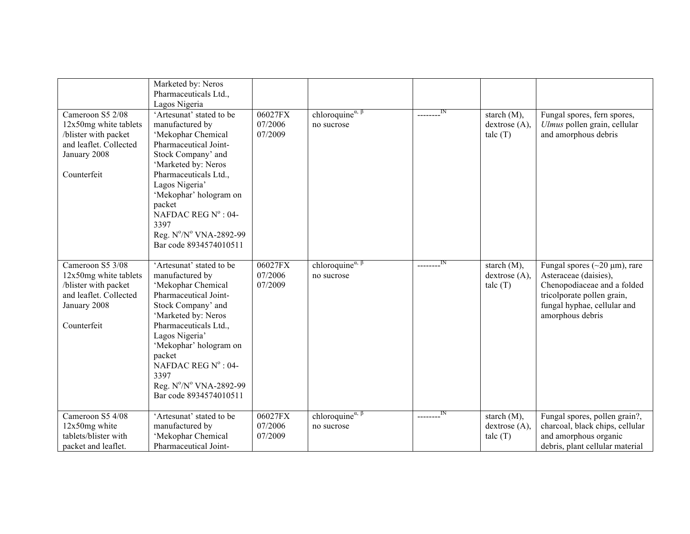| Cameroon S5 2/08<br>12x50mg white tablets<br>/blister with packet<br>and leaflet. Collected<br>January 2008<br>Counterfeit | Marketed by: Neros<br>Pharmaceuticals Ltd.,<br>Lagos Nigeria<br>'Artesunat' stated to be<br>manufactured by<br>'Mekophar Chemical<br>Pharmaceutical Joint-<br>Stock Company' and<br>'Marketed by: Neros<br>Pharmaceuticals Ltd.,<br>Lagos Nigeria'<br>'Mekophar' hologram on<br>packet<br>NAFDAC REG $N^{\circ}$ : 04- | 06027FX<br>07/2006<br>07/2009 | chloroquine <sup><math>\alpha, \beta</math></sup><br>no sucrose              |                             | starch $(M)$ ,<br>dextrose (A),<br>talc(T) | Fungal spores, fern spores,<br>Ulmus pollen grain, cellular<br>and amorphous debris                                                                                          |
|----------------------------------------------------------------------------------------------------------------------------|------------------------------------------------------------------------------------------------------------------------------------------------------------------------------------------------------------------------------------------------------------------------------------------------------------------------|-------------------------------|------------------------------------------------------------------------------|-----------------------------|--------------------------------------------|------------------------------------------------------------------------------------------------------------------------------------------------------------------------------|
|                                                                                                                            | 3397<br>Reg. N°/N° VNA-2892-99<br>Bar code 8934574010511                                                                                                                                                                                                                                                               |                               |                                                                              |                             |                                            |                                                                                                                                                                              |
| Cameroon S5 3/08<br>12x50mg white tablets<br>/blister with packet<br>and leaflet. Collected<br>January 2008<br>Counterfeit | 'Artesunat' stated to be<br>manufactured by<br>'Mekophar Chemical<br>Pharmaceutical Joint-<br>Stock Company' and<br>'Marketed by: Neros<br>Pharmaceuticals Ltd.,<br>Lagos Nigeria'<br>'Mekophar' hologram on<br>packet<br>NAFDAC REG $N^{\circ}$ : 04-<br>3397<br>Reg. N°/N° VNA-2892-99<br>Bar code 8934574010511     | 06027FX<br>07/2006<br>07/2009 | chloroquine <sup><math>\alpha</math>, <math>\beta</math></sup><br>no sucrose | $\overline{\phantom{a}}$ IN | starch $(M)$ ,<br>dextrose(A),<br>talc(T)  | Fungal spores ( $\sim$ 20 µm), rare<br>Asteraceae (daisies),<br>Chenopodiaceae and a folded<br>tricolporate pollen grain,<br>fungal hyphae, cellular and<br>amorphous debris |
| Cameroon S5 4/08<br>12x50mg white<br>tablets/blister with<br>packet and leaflet.                                           | 'Artesunat' stated to be<br>manufactured by<br>'Mekophar Chemical<br>Pharmaceutical Joint-                                                                                                                                                                                                                             | 06027FX<br>07/2006<br>07/2009 | chloroquine <sup><math>\alpha</math>, <math>\beta</math></sup><br>no sucrose | IN                          | starch $(M)$ ,<br>dextrose(A),<br>talc(T)  | Fungal spores, pollen grain?,<br>charcoal, black chips, cellular<br>and amorphous organic<br>debris, plant cellular material                                                 |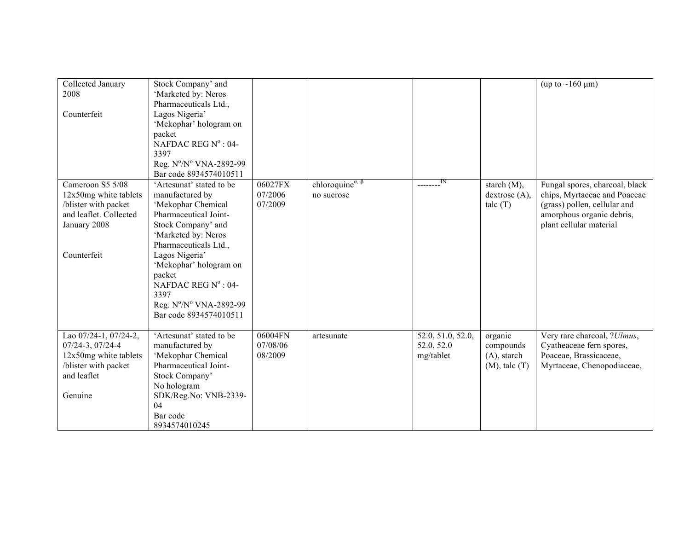| Collected January      | Stock Company' and           |          |                                                   |                   |                    | (up to $\sim$ 160 µm)          |
|------------------------|------------------------------|----------|---------------------------------------------------|-------------------|--------------------|--------------------------------|
|                        |                              |          |                                                   |                   |                    |                                |
| 2008                   | 'Marketed by: Neros          |          |                                                   |                   |                    |                                |
|                        | Pharmaceuticals Ltd.,        |          |                                                   |                   |                    |                                |
| Counterfeit            | Lagos Nigeria'               |          |                                                   |                   |                    |                                |
|                        | 'Mekophar' hologram on       |          |                                                   |                   |                    |                                |
|                        | packet                       |          |                                                   |                   |                    |                                |
|                        | NAFDAC REG $N^{\circ}$ : 04- |          |                                                   |                   |                    |                                |
|                        | 3397                         |          |                                                   |                   |                    |                                |
|                        | Reg. N°/N° VNA-2892-99       |          |                                                   |                   |                    |                                |
|                        | Bar code 8934574010511       |          |                                                   |                   |                    |                                |
| Cameroon S5 5/08       | 'Artesunat' stated to be     | 06027FX  | chloroquine <sup><math>\alpha, \beta</math></sup> | IN                | starch (M),        | Fungal spores, charcoal, black |
| 12x50mg white tablets  | manufactured by              | 07/2006  | no sucrose                                        |                   | dextrose(A),       | chips, Myrtaceae and Poaceae   |
| /blister with packet   | 'Mekophar Chemical           | 07/2009  |                                                   |                   | talc(T)            | (grass) pollen, cellular and   |
| and leaflet. Collected | Pharmaceutical Joint-        |          |                                                   |                   |                    | amorphous organic debris,      |
| January 2008           | Stock Company' and           |          |                                                   |                   |                    | plant cellular material        |
|                        | 'Marketed by: Neros          |          |                                                   |                   |                    |                                |
|                        | Pharmaceuticals Ltd.,        |          |                                                   |                   |                    |                                |
| Counterfeit            | Lagos Nigeria'               |          |                                                   |                   |                    |                                |
|                        | 'Mekophar' hologram on       |          |                                                   |                   |                    |                                |
|                        | packet                       |          |                                                   |                   |                    |                                |
|                        | NAFDAC REG $N^{\circ}$ : 04- |          |                                                   |                   |                    |                                |
|                        | 3397                         |          |                                                   |                   |                    |                                |
|                        |                              |          |                                                   |                   |                    |                                |
|                        | Reg. N°/N° VNA-2892-99       |          |                                                   |                   |                    |                                |
|                        | Bar code 8934574010511       |          |                                                   |                   |                    |                                |
|                        |                              |          |                                                   |                   |                    |                                |
| Lao 07/24-1, 07/24-2,  | 'Artesunat' stated to be     | 06004FN  | artesunate                                        | 52.0, 51.0, 52.0, | organic            | Very rare charcoal, ?Ulmus,    |
| 07/24-3, 07/24-4       | manufactured by              | 07/08/06 |                                                   | 52.0, 52.0        | compounds          | Cyatheaceae fern spores,       |
| 12x50mg white tablets  | 'Mekophar Chemical           | 08/2009  |                                                   | mg/tablet         | $(A)$ , starch     | Poaceae, Brassicaceae,         |
| /blister with packet   | Pharmaceutical Joint-        |          |                                                   |                   | $(M)$ , talc $(T)$ | Myrtaceae, Chenopodiaceae,     |
| and leaflet            | Stock Company'               |          |                                                   |                   |                    |                                |
|                        | No hologram                  |          |                                                   |                   |                    |                                |
| Genuine                | SDK/Reg.No: VNB-2339-        |          |                                                   |                   |                    |                                |
|                        | 04                           |          |                                                   |                   |                    |                                |
|                        | Bar code                     |          |                                                   |                   |                    |                                |
|                        | 8934574010245                |          |                                                   |                   |                    |                                |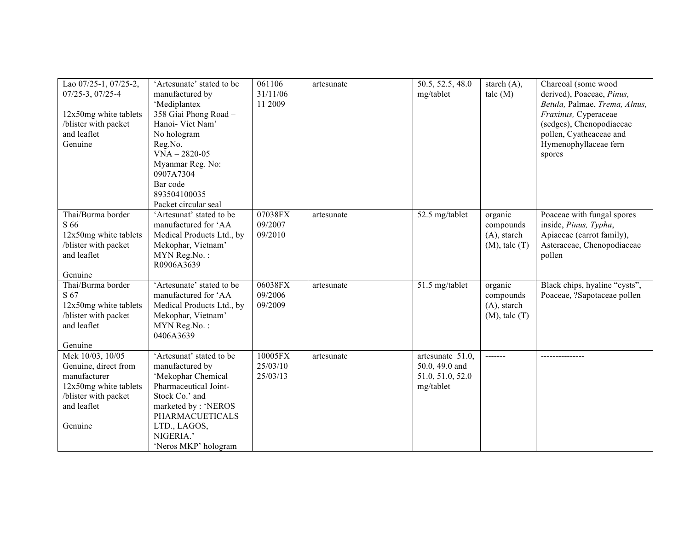| Lao 07/25-1, 07/25-2,<br>$07/25 - 3$ , $07/25 - 4$<br>12x50mg white tablets<br>/blister with packet<br>and leaflet<br>Genuine       | 'Artesunate' stated to be<br>manufactured by<br>'Mediplantex<br>358 Giai Phong Road -<br>Hanoi- Viet Nam'<br>No hologram<br>Reg.No.<br>$VNA - 2820 - 05$<br>Myanmar Reg. No:<br>0907A7304<br>Bar code<br>893504100035<br>Packet circular seal | 061106<br>31/11/06<br>11 2009   | artesunate | 50.5, 52.5, 48.0<br>mg/tablet                                       | starch $(A)$ ,<br>talc(M)                                    | Charcoal (some wood<br>derived), Poaceae, Pinus,<br>Betula, Palmae, Trema, Alnus,<br>Fraxinus, Cyperaceae<br>(sedges), Chenopodiaceae<br>pollen, Cyatheaceae and<br>Hymenophyllaceae fern<br>spores |
|-------------------------------------------------------------------------------------------------------------------------------------|-----------------------------------------------------------------------------------------------------------------------------------------------------------------------------------------------------------------------------------------------|---------------------------------|------------|---------------------------------------------------------------------|--------------------------------------------------------------|-----------------------------------------------------------------------------------------------------------------------------------------------------------------------------------------------------|
| Thai/Burma border<br>S 66<br>12x50mg white tablets<br>/blister with packet<br>and leaflet<br>Genuine                                | 'Artesunat' stated to be<br>manufactured for 'AA<br>Medical Products Ltd., by<br>Mekophar, Vietnam'<br>MYN Reg.No.:<br>R0906A3639                                                                                                             | 07038FX<br>09/2007<br>09/2010   | artesunate | 52.5 mg/tablet                                                      | organic<br>compounds<br>$(A)$ , starch<br>$(M)$ , talc $(T)$ | Poaceae with fungal spores<br>inside, Pinus, Typha,<br>Apiaceae (carrot family),<br>Asteraceae, Chenopodiaceae<br>pollen                                                                            |
| Thai/Burma border<br>S 67<br>12x50mg white tablets<br>/blister with packet<br>and leaflet<br>Genuine                                | 'Artesunate' stated to be<br>manufactured for 'AA<br>Medical Products Ltd., by<br>Mekophar, Vietnam'<br>MYN Reg.No.:<br>0406A3639                                                                                                             | 06038FX<br>09/2006<br>09/2009   | artesunate | 51.5 mg/tablet                                                      | organic<br>compounds<br>$(A)$ , starch<br>$(M)$ , talc $(T)$ | Black chips, hyaline "cysts",<br>Poaceae, ?Sapotaceae pollen                                                                                                                                        |
| Mek 10/03, 10/05<br>Genuine, direct from<br>manufacturer<br>12x50mg white tablets<br>/blister with packet<br>and leaflet<br>Genuine | 'Artesunat' stated to be<br>manufactured by<br>'Mekophar Chemical<br>Pharmaceutical Joint-<br>Stock Co.' and<br>marketed by: 'NEROS<br><b>PHARMACUETICALS</b><br>LTD., LAGOS,<br>NIGERIA.'<br>'Neros MKP' hologram                            | 10005FX<br>25/03/10<br>25/03/13 | artesunate | artesunate 51.0.<br>50.0, 49.0 and<br>51.0, 51.0, 52.0<br>mg/tablet | -------                                                      |                                                                                                                                                                                                     |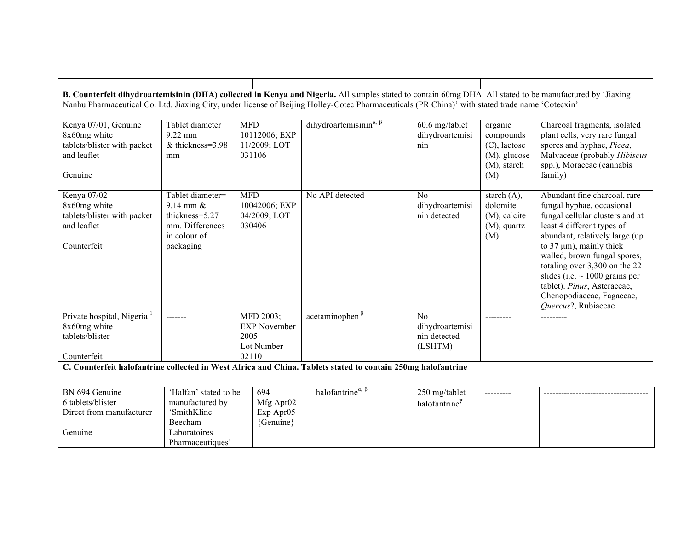|                                                                                                                                                 |                               |                        | B. Counterfeit dihydroartemisinin (DHA) collected in Kenya and Nigeria. All samples stated to contain 60mg DHA. All stated to be manufactured by 'Jiaxing |                           |                                    |                                                                      |  |  |
|-------------------------------------------------------------------------------------------------------------------------------------------------|-------------------------------|------------------------|-----------------------------------------------------------------------------------------------------------------------------------------------------------|---------------------------|------------------------------------|----------------------------------------------------------------------|--|--|
| Nanhu Pharmaceutical Co. Ltd. Jiaxing City, under license of Beijing Holley-Cotec Pharmaceuticals (PR China)' with stated trade name 'Cotecxin' |                               |                        |                                                                                                                                                           |                           |                                    |                                                                      |  |  |
|                                                                                                                                                 |                               |                        |                                                                                                                                                           |                           |                                    |                                                                      |  |  |
| Kenya 07/01, Genuine                                                                                                                            | Tablet diameter               | <b>MFD</b>             | dihydroartemisinin <sup><math>\alpha</math>, <math>\beta</math></sup>                                                                                     | 60.6 mg/tablet            | organic                            | Charcoal fragments, isolated                                         |  |  |
| 8x60mg white                                                                                                                                    | $9.22$ mm<br>& thickness=3.98 | 10112006; EXP          |                                                                                                                                                           | dihydroartemisi           | compounds                          | plant cells, very rare fungal                                        |  |  |
| tablets/blister with packet<br>and leaflet                                                                                                      |                               | 11/2009; LOT<br>031106 |                                                                                                                                                           | nin                       | $(C)$ , lactose<br>$(M)$ , glucose | spores and hyphae, Picea,<br>Malvaceae (probably Hibiscus            |  |  |
|                                                                                                                                                 | mm                            |                        |                                                                                                                                                           |                           | $(M)$ , starch                     | spp.), Moraceae (cannabis                                            |  |  |
| Genuine                                                                                                                                         |                               |                        |                                                                                                                                                           |                           | (M)                                | family)                                                              |  |  |
|                                                                                                                                                 |                               |                        |                                                                                                                                                           |                           |                                    |                                                                      |  |  |
| Kenya 07/02                                                                                                                                     | Tablet diameter=              | <b>MFD</b>             | No API detected                                                                                                                                           | No                        | starch $(A)$ ,                     | Abundant fine charcoal, rare                                         |  |  |
| 8x60mg white                                                                                                                                    | $9.14$ mm $\&$                | 10042006; EXP          |                                                                                                                                                           | dihydroartemisi           | dolomite                           | fungal hyphae, occasional                                            |  |  |
| tablets/blister with packet                                                                                                                     | thickness=5.27                | 04/2009; LOT           |                                                                                                                                                           | nin detected              | (M), calcite                       | fungal cellular clusters and at                                      |  |  |
| and leaflet                                                                                                                                     | mm. Differences               | 030406                 |                                                                                                                                                           |                           | $(M)$ , quartz                     | least 4 different types of                                           |  |  |
|                                                                                                                                                 | in colour of                  |                        |                                                                                                                                                           |                           | (M)                                | abundant, relatively large (up                                       |  |  |
| Counterfeit                                                                                                                                     | packaging                     |                        |                                                                                                                                                           |                           |                                    | to 37 $\mu$ m), mainly thick                                         |  |  |
|                                                                                                                                                 |                               |                        |                                                                                                                                                           |                           |                                    | walled, brown fungal spores,                                         |  |  |
|                                                                                                                                                 |                               |                        |                                                                                                                                                           |                           |                                    | totaling over 3,300 on the 22<br>slides (i.e. $\sim$ 1000 grains per |  |  |
|                                                                                                                                                 |                               |                        |                                                                                                                                                           |                           |                                    | tablet). Pinus, Asteraceae,                                          |  |  |
|                                                                                                                                                 |                               |                        |                                                                                                                                                           |                           |                                    | Chenopodiaceae, Fagaceae,                                            |  |  |
|                                                                                                                                                 |                               |                        |                                                                                                                                                           |                           |                                    | Quercus?, Rubiaceae                                                  |  |  |
| Private hospital, Nigeria                                                                                                                       | -------                       | MFD 2003;              | $\alpha$ cetaminophen $\beta$                                                                                                                             | N <sub>o</sub>            |                                    |                                                                      |  |  |
| 8x60mg white                                                                                                                                    |                               | <b>EXP November</b>    |                                                                                                                                                           | dihydroartemisi           |                                    |                                                                      |  |  |
| tablets/blister                                                                                                                                 |                               | 2005                   |                                                                                                                                                           | nin detected              |                                    |                                                                      |  |  |
|                                                                                                                                                 |                               | Lot Number             |                                                                                                                                                           | (LSHTM)                   |                                    |                                                                      |  |  |
| Counterfeit                                                                                                                                     |                               | 02110                  |                                                                                                                                                           |                           |                                    |                                                                      |  |  |
|                                                                                                                                                 |                               |                        | C. Counterfeit halofantrine collected in West Africa and China. Tablets stated to contain 250mg halofantrine                                              |                           |                                    |                                                                      |  |  |
|                                                                                                                                                 |                               |                        |                                                                                                                                                           |                           |                                    |                                                                      |  |  |
| BN 694 Genuine                                                                                                                                  | 'Halfan' stated to be         | 694                    | halofantrine <sup><math>\alpha</math>, <math>\beta</math></sup>                                                                                           | 250 mg/tablet             | ---------                          |                                                                      |  |  |
| 6 tablets/blister                                                                                                                               | manufactured by               | Mfg Apr02              |                                                                                                                                                           | halofantrine <sup>7</sup> |                                    |                                                                      |  |  |
| Direct from manufacturer                                                                                                                        | 'SmithKline                   | Exp Apr05              |                                                                                                                                                           |                           |                                    |                                                                      |  |  |
|                                                                                                                                                 | Beecham                       | {Genuine}              |                                                                                                                                                           |                           |                                    |                                                                      |  |  |
| Genuine                                                                                                                                         | Laboratoires                  |                        |                                                                                                                                                           |                           |                                    |                                                                      |  |  |
|                                                                                                                                                 | Pharmaceutiques'              |                        |                                                                                                                                                           |                           |                                    |                                                                      |  |  |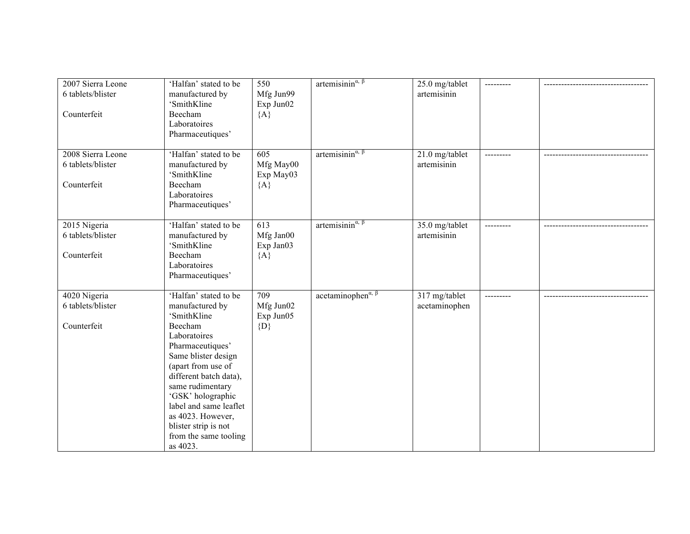| 2007 Sierra Leone<br>6 tablets/blister<br>Counterfeit | 'Halfan' stated to be<br>manufactured by<br>'SmithKline<br>Beecham<br>Laboratoires<br>Pharmaceutiques'                                                                                                                                                                                                                             | 550<br>Mfg Jun99<br>Exp Jun02<br>${A}$              | artemisinin $\alpha$ , $\beta$                                 | 25.0 mg/tablet<br>artemisinin  | --------- |  |
|-------------------------------------------------------|------------------------------------------------------------------------------------------------------------------------------------------------------------------------------------------------------------------------------------------------------------------------------------------------------------------------------------|-----------------------------------------------------|----------------------------------------------------------------|--------------------------------|-----------|--|
| 2008 Sierra Leone<br>6 tablets/blister<br>Counterfeit | 'Halfan' stated to be<br>manufactured by<br>'SmithKline<br>Beecham<br>Laboratoires<br>Pharmaceutiques'                                                                                                                                                                                                                             | $\overline{605}$<br>Mfg May00<br>Exp May03<br>${A}$ | artemisinin <sup><math>\alpha</math>, <math>\beta</math></sup> | 21.0 mg/tablet<br>artemisinin  |           |  |
| 2015 Nigeria<br>6 tablets/blister<br>Counterfeit      | 'Halfan' stated to be<br>manufactured by<br>'SmithKline<br>Beecham<br>Laboratoires<br>Pharmaceutiques'                                                                                                                                                                                                                             | 613<br>Mfg Jan00<br>Exp Jan03<br>${A}$              | artemisinin <sup><math>\alpha</math>, <math>\beta</math></sup> | 35.0 mg/tablet<br>artemisinin  | --------- |  |
| 4020 Nigeria<br>6 tablets/blister<br>Counterfeit      | 'Halfan' stated to be<br>manufactured by<br>'SmithKline<br>Beecham<br>Laboratoires<br>Pharmaceutiques'<br>Same blister design<br>(apart from use of<br>different batch data),<br>same rudimentary<br>'GSK' holographic<br>label and same leaflet<br>as 4023. However,<br>blister strip is not<br>from the same tooling<br>as 4023. | 709<br>Mfg Jun02<br>Exp Jun05<br>$\{D\}$            | acetaminophen $a, \beta$                                       | 317 mg/tablet<br>acetaminophen | --------- |  |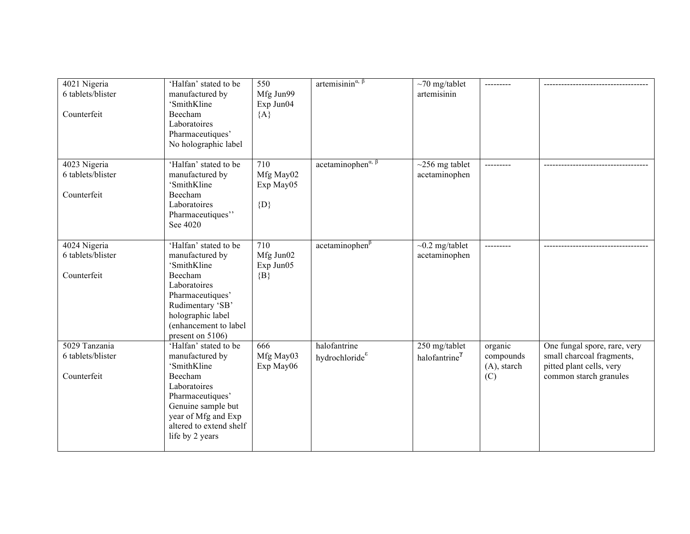| 4021 Nigeria<br>6 tablets/blister<br>Counterfeit  | 'Halfan' stated to be<br>manufactured by<br>'SmithKline<br>Beecham                                                                                                                                | 550<br>Mfg Jun99<br>Exp Jun04<br>${A}$   | artemisinin <sup><math>\alpha</math>, <math>\beta</math></sup> | $\sim$ 70 mg/tablet<br>artemisinin         | ---------                                     |                                                                                                                 |
|---------------------------------------------------|---------------------------------------------------------------------------------------------------------------------------------------------------------------------------------------------------|------------------------------------------|----------------------------------------------------------------|--------------------------------------------|-----------------------------------------------|-----------------------------------------------------------------------------------------------------------------|
|                                                   | Laboratoires<br>Pharmaceutiques'<br>No holographic label                                                                                                                                          |                                          |                                                                |                                            |                                               |                                                                                                                 |
| 4023 Nigeria<br>6 tablets/blister<br>Counterfeit  | 'Halfan' stated to be<br>manufactured by<br>'SmithKline<br>Beecham<br>Laboratoires<br>Pharmaceutiques"<br>See 4020                                                                                | 710<br>Mfg May02<br>Exp May05<br>$\{D\}$ | acetaminophen $\alpha$ , $\beta$                               | $\sim$ 256 mg tablet<br>acetaminophen      | ---------                                     |                                                                                                                 |
| 4024 Nigeria<br>6 tablets/blister<br>Counterfeit  | 'Halfan' stated to be<br>manufactured by<br>'SmithKline<br>Beecham<br>Laboratoires<br>Pharmaceutiques'<br>Rudimentary 'SB'<br>holographic label<br>(enhancement to label<br>present on 5106)      | 710<br>Mfg Jun02<br>Exp Jun05<br>${B}$   | $acetaminophen^{\beta}$                                        | $\sim$ 0.2 mg/tablet<br>acetaminophen      |                                               |                                                                                                                 |
| 5029 Tanzania<br>6 tablets/blister<br>Counterfeit | 'Halfan' stated to be<br>manufactured by<br>'SmithKline<br>Beecham<br>Laboratoires<br>Pharmaceutiques'<br>Genuine sample but<br>year of Mfg and Exp<br>altered to extend shelf<br>life by 2 years | 666<br>Mfg May03<br>Exp May06            | halofantrine<br>hydrochloride <sup>8</sup>                     | 250 mg/tablet<br>halofantrine <sup>7</sup> | organic<br>compounds<br>$(A)$ , starch<br>(C) | One fungal spore, rare, very<br>small charcoal fragments,<br>pitted plant cells, very<br>common starch granules |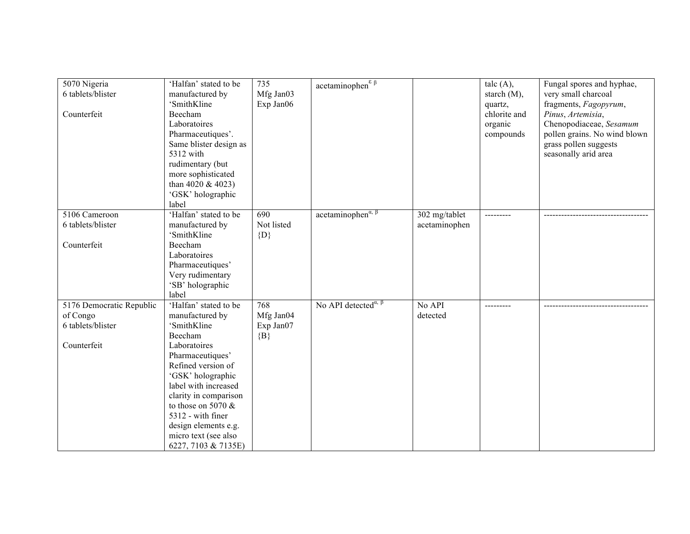| 5070 Nigeria<br>6 tablets/blister | 'Halfan' stated to be<br>manufactured by | 735<br>Mfg Jan03 | acetaminophen $^{\epsilon_{\beta}}$                                |               | talc $(A)$ ,<br>starch $(M)$ , | Fungal spores and hyphae,<br>very small charcoal |
|-----------------------------------|------------------------------------------|------------------|--------------------------------------------------------------------|---------------|--------------------------------|--------------------------------------------------|
|                                   | 'SmithKline                              | Exp Jan06        |                                                                    |               | quartz,                        | fragments, Fagopyrum,                            |
| Counterfeit                       | Beecham                                  |                  |                                                                    |               | chlorite and                   | Pinus, Artemisia,                                |
|                                   | Laboratoires                             |                  |                                                                    |               | organic                        | Chenopodiaceae, Sesamum                          |
|                                   | Pharmaceutiques'.                        |                  |                                                                    |               | compounds                      | pollen grains. No wind blown                     |
|                                   | Same blister design as                   |                  |                                                                    |               |                                | grass pollen suggests                            |
|                                   | 5312 with                                |                  |                                                                    |               |                                | seasonally arid area                             |
|                                   | rudimentary (but                         |                  |                                                                    |               |                                |                                                  |
|                                   | more sophisticated                       |                  |                                                                    |               |                                |                                                  |
|                                   | than 4020 $&$ 4023)                      |                  |                                                                    |               |                                |                                                  |
|                                   | 'GSK' holographic                        |                  |                                                                    |               |                                |                                                  |
|                                   | label                                    |                  |                                                                    |               |                                |                                                  |
| 5106 Cameroon                     | 'Halfan' stated to be                    | 690              | $\arctan$ inophen <sup><math>\alpha, \beta</math></sup>            | 302 mg/tablet |                                |                                                  |
| 6 tablets/blister                 | manufactured by                          | Not listed       |                                                                    | acetaminophen |                                |                                                  |
|                                   | 'SmithKline                              | $\{D\}$          |                                                                    |               |                                |                                                  |
| Counterfeit                       | Beecham                                  |                  |                                                                    |               |                                |                                                  |
|                                   | Laboratoires                             |                  |                                                                    |               |                                |                                                  |
|                                   | Pharmaceutiques'                         |                  |                                                                    |               |                                |                                                  |
|                                   | Very rudimentary                         |                  |                                                                    |               |                                |                                                  |
|                                   | 'SB' holographic                         |                  |                                                                    |               |                                |                                                  |
|                                   | label                                    |                  |                                                                    |               |                                |                                                  |
| 5176 Democratic Republic          | 'Halfan' stated to be                    | 768              | No API detected <sup><math>\alpha</math>, <math>\beta</math></sup> | No API        |                                |                                                  |
| of Congo                          | manufactured by                          | Mfg Jan04        |                                                                    | detected      |                                |                                                  |
| 6 tablets/blister                 | 'SmithKline                              | Exp Jan07        |                                                                    |               |                                |                                                  |
|                                   | Beecham                                  | $\{B\}$          |                                                                    |               |                                |                                                  |
| Counterfeit                       | Laboratoires                             |                  |                                                                    |               |                                |                                                  |
|                                   | Pharmaceutiques'                         |                  |                                                                    |               |                                |                                                  |
|                                   | Refined version of                       |                  |                                                                    |               |                                |                                                  |
|                                   | 'GSK' holographic                        |                  |                                                                    |               |                                |                                                  |
|                                   | label with increased                     |                  |                                                                    |               |                                |                                                  |
|                                   | clarity in comparison                    |                  |                                                                    |               |                                |                                                  |
|                                   | to those on 5070 $&$                     |                  |                                                                    |               |                                |                                                  |
|                                   | 5312 - with finer                        |                  |                                                                    |               |                                |                                                  |
|                                   | design elements e.g.                     |                  |                                                                    |               |                                |                                                  |
|                                   | micro text (see also                     |                  |                                                                    |               |                                |                                                  |
|                                   | 6227, 7103 & 7135E)                      |                  |                                                                    |               |                                |                                                  |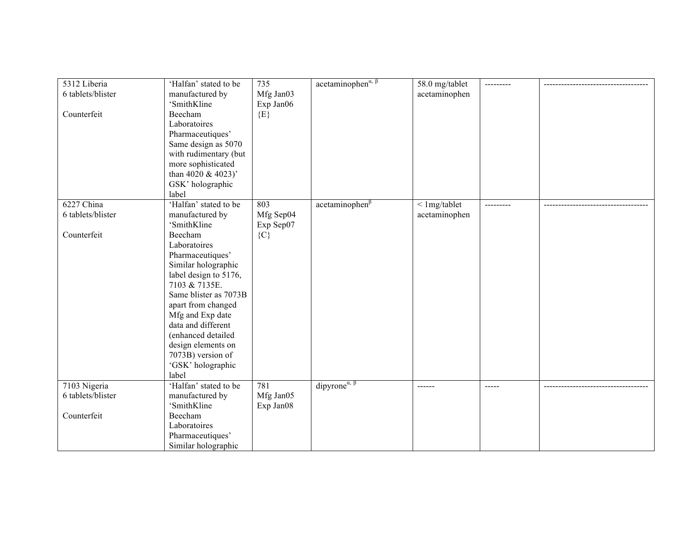| 5312 Liberia      | 'Halfan' stated to be | 735       | $\alpha$ cetaminophen <sup><math>\alpha, \beta</math></sup> | 58.0 mg/tablet  |               |  |
|-------------------|-----------------------|-----------|-------------------------------------------------------------|-----------------|---------------|--|
| 6 tablets/blister | manufactured by       | Mfg Jan03 |                                                             | acetaminophen   |               |  |
|                   | 'SmithKline           | Exp Jan06 |                                                             |                 |               |  |
| Counterfeit       | Beecham               | $\{E\}$   |                                                             |                 |               |  |
|                   | Laboratoires          |           |                                                             |                 |               |  |
|                   | Pharmaceutiques'      |           |                                                             |                 |               |  |
|                   | Same design as 5070   |           |                                                             |                 |               |  |
|                   | with rudimentary (but |           |                                                             |                 |               |  |
|                   | more sophisticated    |           |                                                             |                 |               |  |
|                   | than 4020 & 4023)'    |           |                                                             |                 |               |  |
|                   | GSK' holographic      |           |                                                             |                 |               |  |
|                   | label                 |           |                                                             |                 |               |  |
| 6227 China        | 'Halfan' stated to be | 803       | $acetaminophen^{\beta}$                                     | $<$ 1 mg/tablet |               |  |
| 6 tablets/blister | manufactured by       | Mfg Sep04 |                                                             | acetaminophen   |               |  |
|                   | 'SmithKline           | Exp Sep07 |                                                             |                 |               |  |
| Counterfeit       | Beecham               | ${C}$     |                                                             |                 |               |  |
|                   | Laboratoires          |           |                                                             |                 |               |  |
|                   | Pharmaceutiques'      |           |                                                             |                 |               |  |
|                   | Similar holographic   |           |                                                             |                 |               |  |
|                   | label design to 5176, |           |                                                             |                 |               |  |
|                   | 7103 & 7135E.         |           |                                                             |                 |               |  |
|                   | Same blister as 7073B |           |                                                             |                 |               |  |
|                   | apart from changed    |           |                                                             |                 |               |  |
|                   | Mfg and Exp date      |           |                                                             |                 |               |  |
|                   | data and different    |           |                                                             |                 |               |  |
|                   | (enhanced detailed    |           |                                                             |                 |               |  |
|                   | design elements on    |           |                                                             |                 |               |  |
|                   | 7073B) version of     |           |                                                             |                 |               |  |
|                   | 'GSK' holographic     |           |                                                             |                 |               |  |
|                   | label                 |           |                                                             |                 |               |  |
| 7103 Nigeria      | 'Halfan' stated to be | 781       | dipyrone <sup><math>\alpha, \beta</math></sup>              |                 | $\frac{1}{2}$ |  |
| 6 tablets/blister | manufactured by       | Mfg Jan05 |                                                             |                 |               |  |
|                   | 'SmithKline           | Exp Jan08 |                                                             |                 |               |  |
| Counterfeit       | Beecham               |           |                                                             |                 |               |  |
|                   | Laboratoires          |           |                                                             |                 |               |  |
|                   | Pharmaceutiques'      |           |                                                             |                 |               |  |
|                   | Similar holographic   |           |                                                             |                 |               |  |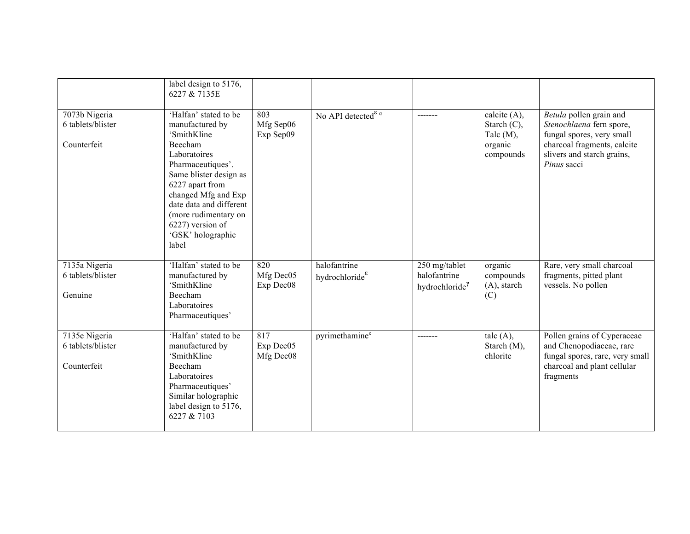|                                                   | label design to 5176,<br>6227 & 7135E                                                                                                                                                                                                                                            |                                            |                                             |                                                             |                                                                           |                                                                                                                                                              |
|---------------------------------------------------|----------------------------------------------------------------------------------------------------------------------------------------------------------------------------------------------------------------------------------------------------------------------------------|--------------------------------------------|---------------------------------------------|-------------------------------------------------------------|---------------------------------------------------------------------------|--------------------------------------------------------------------------------------------------------------------------------------------------------------|
| 7073b Nigeria<br>6 tablets/blister<br>Counterfeit | 'Halfan' stated to be<br>manufactured by<br>'SmithKline<br>Beecham<br>Laboratoires<br>Pharmaceutiques'.<br>Same blister design as<br>6227 apart from<br>changed Mfg and Exp<br>date data and different<br>(more rudimentary on<br>6227) version of<br>'GSK' holographic<br>label | 803<br>Mfg Sep06<br>Exp Sep09              | No API detected $\int^{\varepsilon} \alpha$ | -------                                                     | calcite $(A)$ ,<br>Starch $(C)$ ,<br>Talc $(M)$ ,<br>organic<br>compounds | Betula pollen grain and<br>Stenochlaena fern spore,<br>fungal spores, very small<br>charcoal fragments, calcite<br>slivers and starch grains,<br>Pinus sacci |
| 7135a Nigeria<br>6 tablets/blister<br>Genuine     | 'Halfan' stated to be<br>manufactured by<br>'SmithKline<br>Beecham<br>Laboratoires<br>Pharmaceutiques'                                                                                                                                                                           | 820<br>Mfg Dec05<br>Exp Dec08              | halofantrine<br>hydrochloride $\epsilon$    | 250 mg/tablet<br>halofantrine<br>hydrochloride <sup>7</sup> | organic<br>compounds<br>$(A)$ , starch<br>(C)                             | Rare, very small charcoal<br>fragments, pitted plant<br>vessels. No pollen                                                                                   |
| 7135e Nigeria<br>6 tablets/blister<br>Counterfeit | 'Halfan' stated to be<br>manufactured by<br>'SmithKline<br>Beecham<br>Laboratoires<br>Pharmaceutiques'<br>Similar holographic<br>label design to 5176,<br>6227 & 7103                                                                                                            | $\overline{817}$<br>Exp Dec05<br>Mfg Dec08 | pyrimethamine®                              | -------                                                     | talc $(A)$ ,<br>Starch (M),<br>chlorite                                   | Pollen grains of Cyperaceae<br>and Chenopodiaceae, rare<br>fungal spores, rare, very small<br>charcoal and plant cellular<br>fragments                       |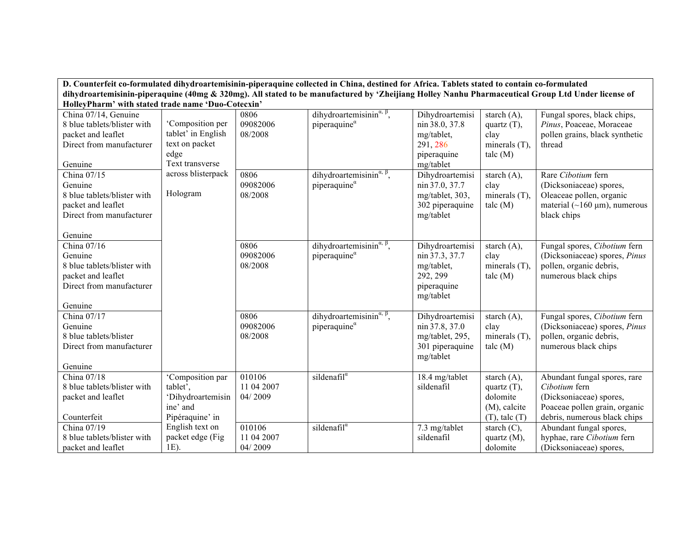|                                                    |                    |            | D. Counterfeit co-formulated dihydroartemisinin-piperaquine collected in China, destined for Africa. Tablets stated to contain co-formulated      |                 |                    |                                     |
|----------------------------------------------------|--------------------|------------|---------------------------------------------------------------------------------------------------------------------------------------------------|-----------------|--------------------|-------------------------------------|
|                                                    |                    |            | dihydroartemisinin-piperaquine (40mg & 320mg). All stated to be manufactured by 'Zheijiang Holley Nanhu Pharmaceutical Group Ltd Under license of |                 |                    |                                     |
| HolleyPharm' with stated trade name 'Duo-Cotecxin' |                    |            |                                                                                                                                                   |                 |                    |                                     |
| China 07/14, Genuine                               |                    | 0806       | dihydroartemisinin $\alpha$ , $\beta$ ,                                                                                                           | Dihydroartemisi | starch $(A)$ ,     | Fungal spores, black chips,         |
| 8 blue tablets/blister with                        | 'Composition per   | 09082006   | piperaquine $\alpha$                                                                                                                              | nin 38.0, 37.8  | quartz $(T)$ ,     | Pinus, Poaceae, Moraceae            |
| packet and leaflet                                 | tablet' in English | 08/2008    |                                                                                                                                                   | mg/tablet,      | clay               | pollen grains, black synthetic      |
| Direct from manufacturer                           | text on packet     |            |                                                                                                                                                   | 291, 286        | minerals $(T)$ .   | thread                              |
|                                                    | edge               |            |                                                                                                                                                   | piperaquine     | talc(M)            |                                     |
| Genuine                                            | Text transverse    |            |                                                                                                                                                   | mg/tablet       |                    |                                     |
| China 07/15                                        | across blisterpack | 0806       | dihydroartemisinin <sup><math>\alpha</math>, <math>\beta</math></sup> ,                                                                           | Dihydroartemisi | starch $(A)$ ,     | Rare Cibotium fern                  |
| Genuine                                            |                    | 09082006   | piperaquine $\alpha$                                                                                                                              | nin 37.0, 37.7  | clay               | (Dicksoniaceae) spores,             |
| 8 blue tablets/blister with                        | Hologram           | 08/2008    |                                                                                                                                                   | mg/tablet, 303, | minerals $(T)$ .   | Oleaceae pollen, organic            |
| packet and leaflet                                 |                    |            |                                                                                                                                                   | 302 piperaquine | talc(M)            | material ( $\sim$ 160 µm), numerous |
| Direct from manufacturer                           |                    |            |                                                                                                                                                   | mg/tablet       |                    | black chips                         |
|                                                    |                    |            |                                                                                                                                                   |                 |                    |                                     |
| Genuine                                            |                    |            |                                                                                                                                                   |                 |                    |                                     |
| China 07/16                                        |                    | 0806       | dihydroartemisinin <sup><math>\alpha</math>, <math>\beta</math>,</sup>                                                                            | Dihydroartemisi | starch $(A)$ ,     | Fungal spores, Cibotium fern        |
| Genuine                                            |                    | 09082006   | piperaquine $\alpha$                                                                                                                              | nin 37.3, 37.7  | clay               | (Dicksoniaceae) spores, Pinus       |
| 8 blue tablets/blister with                        |                    | 08/2008    |                                                                                                                                                   | mg/tablet,      | minerals $(T)$     | pollen, organic debris,             |
| packet and leaflet                                 |                    |            |                                                                                                                                                   | 292, 299        | talc(M)            | numerous black chips                |
| Direct from manufacturer                           |                    |            |                                                                                                                                                   | piperaquine     |                    |                                     |
| Genuine                                            |                    |            |                                                                                                                                                   | mg/tablet       |                    |                                     |
| China 07/17                                        |                    | 0806       | dihydroartemisinin <sup><math>\alpha</math>, <math>\beta</math>,</sup>                                                                            | Dihydroartemisi | starch $(A)$ ,     | Fungal spores, Cibotium fern        |
| Genuine                                            |                    | 09082006   | piperaquine $\alpha$                                                                                                                              | nin 37.8, 37.0  | clay               | (Dicksoniaceae) spores, Pinus       |
| 8 blue tablets/blister                             |                    | 08/2008    |                                                                                                                                                   | mg/tablet, 295, | minerals $(T)$ .   | pollen, organic debris,             |
| Direct from manufacturer                           |                    |            |                                                                                                                                                   | 301 piperaquine | talc(M)            | numerous black chips                |
|                                                    |                    |            |                                                                                                                                                   | mg/tablet       |                    |                                     |
| Genuine                                            |                    |            |                                                                                                                                                   |                 |                    |                                     |
| China $\overline{07/18}$                           | 'Composition par   | 010106     | sildenafil $\alpha$                                                                                                                               | 18.4 mg/tablet  | starch $(A)$ ,     | Abundant fungal spores, rare        |
| 8 blue tablets/blister with                        | tablet'.           | 11 04 2007 |                                                                                                                                                   | sildenafil      | quartz $(T)$ ,     | Cibotium fern                       |
| packet and leaflet                                 | 'Dihydroartemisin  | 04/2009    |                                                                                                                                                   |                 | dolomite           | (Dicksoniaceae) spores,             |
|                                                    | ine' and           |            |                                                                                                                                                   |                 | (M), calcite       | Poaceae pollen grain, organic       |
| Counterfeit                                        | Pipéraquine' in    |            |                                                                                                                                                   |                 | $(T)$ , talc $(T)$ | debris, numerous black chips        |
| China 07/19                                        | English text on    | 010106     | sildenafil $\alpha$                                                                                                                               | 7.3 mg/tablet   | starch $(C)$ ,     | Abundant fungal spores,             |
| 8 blue tablets/blister with                        | packet edge (Fig.  | 11 04 2007 |                                                                                                                                                   | sildenafil      | quartz $(M)$ ,     | hyphae, rare Cibotium fern          |
| packet and leaflet                                 | 1E).               | 04/2009    |                                                                                                                                                   |                 | dolomite           | (Dicksoniaceae) spores,             |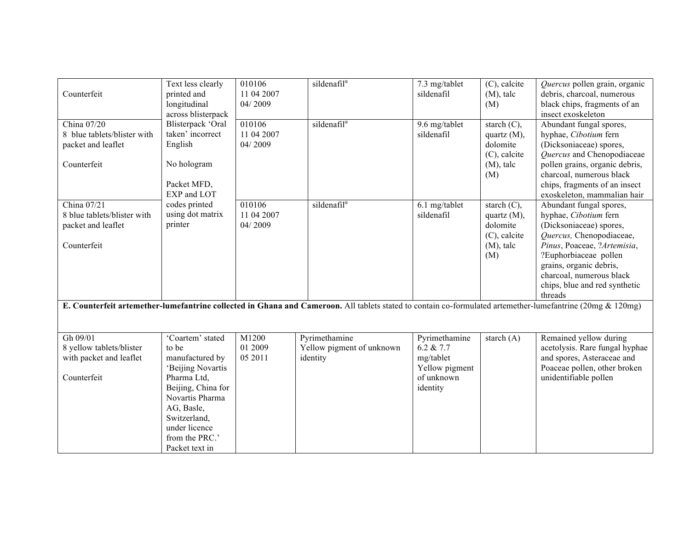| Counterfeit                                                                                  | Text less clearly<br>printed and<br>longitudinal<br>across blisterpack                                                                                                                                       | 010106<br>11 04 2007<br>04/2009 | sildenafil $\overline{a}$                                                                                                                                  | 7.3 mg/tablet<br>sildenafil                                                         | $(C)$ , calcite<br>$(M)$ , talc<br>(M)                                              | Quercus pollen grain, organic<br>debris, charcoal, numerous<br>black chips, fragments of an<br>insect exoskeleton                                                                                                                                                  |
|----------------------------------------------------------------------------------------------|--------------------------------------------------------------------------------------------------------------------------------------------------------------------------------------------------------------|---------------------------------|------------------------------------------------------------------------------------------------------------------------------------------------------------|-------------------------------------------------------------------------------------|-------------------------------------------------------------------------------------|--------------------------------------------------------------------------------------------------------------------------------------------------------------------------------------------------------------------------------------------------------------------|
| China $07/20$<br>8 blue tablets/blister with<br>packet and leaflet<br>Counterfeit            | Blisterpack 'Oral<br>taken' incorrect<br>English<br>No hologram<br>Packet MFD,<br>EXP and LOT                                                                                                                | 010106<br>11 04 2007<br>04/2009 | sildena $\overline{\text{fill}^{\alpha}}$                                                                                                                  | 9.6 mg/tablet<br>sildenafil                                                         | starch $(C)$ ,<br>quartz (M),<br>dolomite<br>$(C)$ , calcite<br>$(M)$ , talc<br>(M) | Abundant fungal spores,<br>hyphae, Cibotium fern<br>(Dicksoniaceae) spores,<br>Quercus and Chenopodiaceae<br>pollen grains, organic debris,<br>charcoal, numerous black<br>chips, fragments of an insect<br>exoskeleton, mammalian hair                            |
| China $\overline{07/21}$<br>8 blue tablets/blister with<br>packet and leaflet<br>Counterfeit | codes printed<br>using dot matrix<br>printer                                                                                                                                                                 | 010106<br>11 04 2007<br>04/2009 | sildenafil $\alpha$                                                                                                                                        | 6.1 mg/tablet<br>sildenafil                                                         | starch $(C)$ ,<br>quartz (M),<br>dolomite<br>$(C)$ , calcite<br>$(M)$ , talc<br>(M) | Abundant fungal spores,<br>hyphae, Cibotium fern<br>(Dicksoniaceae) spores,<br>Quercus, Chenopodiaceae,<br>Pinus, Poaceae, ?Artemisia,<br>?Euphorbiaceae pollen<br>grains, organic debris,<br>charcoal, numerous black<br>chips, blue and red synthetic<br>threads |
|                                                                                              |                                                                                                                                                                                                              |                                 | E. Counterfeit artemether-lumefantrine collected in Ghana and Cameroon. All tablets stated to contain co-formulated artemether-lumefantrine (20mg & 120mg) |                                                                                     |                                                                                     |                                                                                                                                                                                                                                                                    |
| Gh 09/01<br>8 yellow tablets/blister<br>with packet and leaflet<br>Counterfeit               | 'Coartem' stated<br>to be<br>manufactured by<br>'Beijing Novartis<br>Pharma Ltd,<br>Beijing, China for<br>Novartis Pharma<br>AG, Basle,<br>Switzerland,<br>under licence<br>from the PRC.'<br>Packet text in | M1200<br>01 2009<br>05 2011     | Pyrimethamine<br>Yellow pigment of unknown<br>identity                                                                                                     | Pyrimethamine<br>6.2 & 7.7<br>mg/tablet<br>Yellow pigment<br>of unknown<br>identity | starch $(A)$                                                                        | Remained yellow during<br>acetolysis. Rare fungal hyphae<br>and spores, Asteraceae and<br>Poaceae pollen, other broken<br>unidentifiable pollen                                                                                                                    |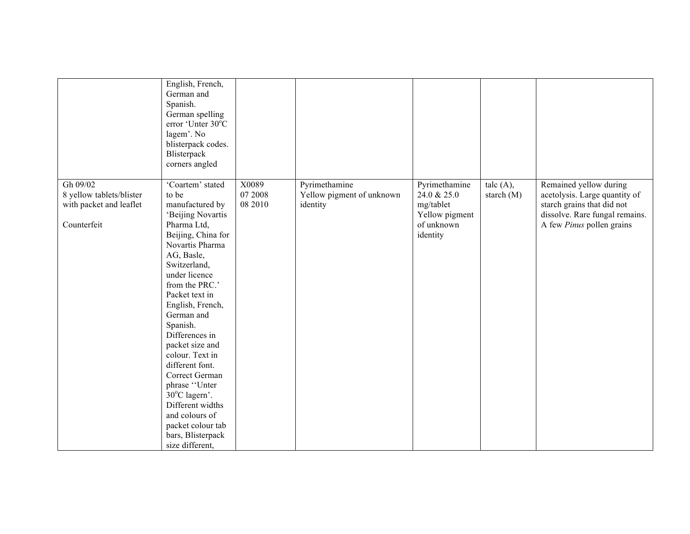| Gh 09/02                                                           | English, French,<br>German and<br>Spanish.<br>German spelling<br>error 'Unter 30°C<br>lagem'. No<br>blisterpack codes.<br>Blisterpack<br>corners angled<br>'Coartem' stated | X0089              | Pyrimethamine                         | Pyrimethamine                                            | talc $(A)$ , | Remained yellow during                                                                                                            |
|--------------------------------------------------------------------|-----------------------------------------------------------------------------------------------------------------------------------------------------------------------------|--------------------|---------------------------------------|----------------------------------------------------------|--------------|-----------------------------------------------------------------------------------------------------------------------------------|
| 8 yellow tablets/blister<br>with packet and leaflet<br>Counterfeit | to be<br>manufactured by<br>'Beijing Novartis<br>Pharma Ltd,                                                                                                                | 07 2008<br>08 2010 | Yellow pigment of unknown<br>identity | 24.0 & 25.0<br>mg/tablet<br>Yellow pigment<br>of unknown | starch (M)   | acetolysis. Large quantity of<br>starch grains that did not<br>dissolve. Rare fungal remains.<br>A few <i>Pinus</i> pollen grains |
|                                                                    | Beijing, China for<br>Novartis Pharma                                                                                                                                       |                    |                                       | identity                                                 |              |                                                                                                                                   |
|                                                                    | AG, Basle,                                                                                                                                                                  |                    |                                       |                                                          |              |                                                                                                                                   |
|                                                                    | Switzerland,                                                                                                                                                                |                    |                                       |                                                          |              |                                                                                                                                   |
|                                                                    | under licence                                                                                                                                                               |                    |                                       |                                                          |              |                                                                                                                                   |
|                                                                    | from the PRC.'                                                                                                                                                              |                    |                                       |                                                          |              |                                                                                                                                   |
|                                                                    | Packet text in                                                                                                                                                              |                    |                                       |                                                          |              |                                                                                                                                   |
|                                                                    | English, French,                                                                                                                                                            |                    |                                       |                                                          |              |                                                                                                                                   |
|                                                                    | German and                                                                                                                                                                  |                    |                                       |                                                          |              |                                                                                                                                   |
|                                                                    | Spanish.                                                                                                                                                                    |                    |                                       |                                                          |              |                                                                                                                                   |
|                                                                    | Differences in                                                                                                                                                              |                    |                                       |                                                          |              |                                                                                                                                   |
|                                                                    | packet size and                                                                                                                                                             |                    |                                       |                                                          |              |                                                                                                                                   |
|                                                                    | colour. Text in                                                                                                                                                             |                    |                                       |                                                          |              |                                                                                                                                   |
|                                                                    | different font.                                                                                                                                                             |                    |                                       |                                                          |              |                                                                                                                                   |
|                                                                    | Correct German                                                                                                                                                              |                    |                                       |                                                          |              |                                                                                                                                   |
|                                                                    | phrase "Unter<br>30°C lagern'.                                                                                                                                              |                    |                                       |                                                          |              |                                                                                                                                   |
|                                                                    | Different widths                                                                                                                                                            |                    |                                       |                                                          |              |                                                                                                                                   |
|                                                                    | and colours of                                                                                                                                                              |                    |                                       |                                                          |              |                                                                                                                                   |
|                                                                    | packet colour tab                                                                                                                                                           |                    |                                       |                                                          |              |                                                                                                                                   |
|                                                                    | bars, Blisterpack                                                                                                                                                           |                    |                                       |                                                          |              |                                                                                                                                   |
|                                                                    | size different,                                                                                                                                                             |                    |                                       |                                                          |              |                                                                                                                                   |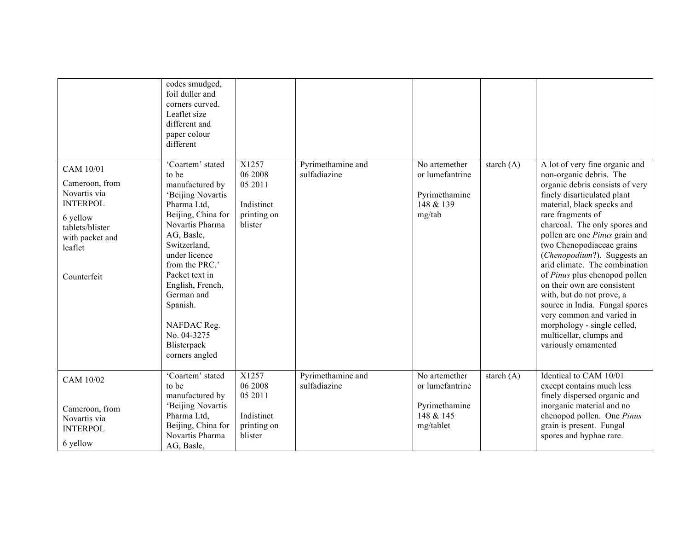|                                                                                                                                            | codes smudged,<br>foil duller and<br>corners curved.<br>Leaflet size<br>different and<br>paper colour<br>different                                                                                                                                                                                                        |                                                                     |                                   |                                                                             |              |                                                                                                                                                                                                                                                                                                                                                                                                                                                                                                                                                                                              |
|--------------------------------------------------------------------------------------------------------------------------------------------|---------------------------------------------------------------------------------------------------------------------------------------------------------------------------------------------------------------------------------------------------------------------------------------------------------------------------|---------------------------------------------------------------------|-----------------------------------|-----------------------------------------------------------------------------|--------------|----------------------------------------------------------------------------------------------------------------------------------------------------------------------------------------------------------------------------------------------------------------------------------------------------------------------------------------------------------------------------------------------------------------------------------------------------------------------------------------------------------------------------------------------------------------------------------------------|
| CAM 10/01<br>Cameroon, from<br>Novartis via<br><b>INTERPOL</b><br>6 yellow<br>tablets/blister<br>with packet and<br>leaflet<br>Counterfeit | 'Coartem' stated<br>to be<br>manufactured by<br>'Beijing Novartis<br>Pharma Ltd.<br>Beijing, China for<br>Novartis Pharma<br>AG, Basle,<br>Switzerland,<br>under licence<br>from the PRC.'<br>Packet text in<br>English, French,<br>German and<br>Spanish.<br>NAFDAC Reg.<br>No. 04-3275<br>Blisterpack<br>corners angled | X1257<br>06 2008<br>05 2011<br>Indistinct<br>printing on<br>blister | Pyrimethamine and<br>sulfadiazine | No artemether<br>or lumefantrine<br>Pyrimethamine<br>148 & 139<br>mg/tab    | starch $(A)$ | A lot of very fine organic and<br>non-organic debris. The<br>organic debris consists of very<br>finely disarticulated plant<br>material, black specks and<br>rare fragments of<br>charcoal. The only spores and<br>pollen are one Pinus grain and<br>two Chenopodiaceae grains<br>(Chenopodium?). Suggests an<br>arid climate. The combination<br>of Pinus plus chenopod pollen<br>on their own are consistent<br>with, but do not prove, a<br>source in India. Fungal spores<br>very common and varied in<br>morphology - single celled,<br>multicellar, clumps and<br>variously ornamented |
| CAM 10/02<br>Cameroon, from<br>Novartis via<br><b>INTERPOL</b><br>6 yellow                                                                 | 'Coartem' stated<br>to be<br>manufactured by<br>'Beijing Novartis<br>Pharma Ltd,<br>Beijing, China for<br>Novartis Pharma<br>AG, Basle,                                                                                                                                                                                   | X1257<br>06 2008<br>05 2011<br>Indistinct<br>printing on<br>blister | Pyrimethamine and<br>sulfadiazine | No artemether<br>or lumefantrine<br>Pyrimethamine<br>148 & 145<br>mg/tablet | starch $(A)$ | Identical to CAM 10/01<br>except contains much less<br>finely dispersed organic and<br>inorganic material and no<br>chenopod pollen. One Pinus<br>grain is present. Fungal<br>spores and hyphae rare.                                                                                                                                                                                                                                                                                                                                                                                        |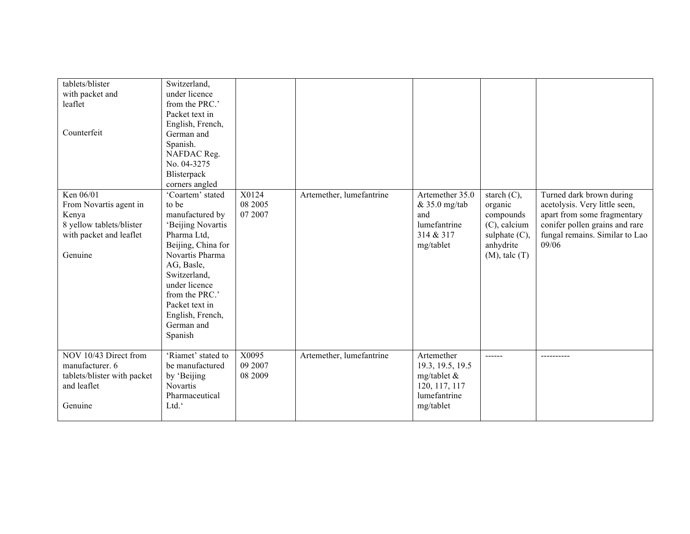| tablets/blister<br>with packet and<br>leaflet<br>Counterfeit                                                   | Switzerland,<br>under licence<br>from the PRC.'<br>Packet text in<br>English, French,<br>German and<br>Spanish.<br>NAFDAC Reg.<br>No. 04-3275                                                                                                             |                             |                          |                                                                                             |                                                                                                                  |                                                                                                                                                                       |
|----------------------------------------------------------------------------------------------------------------|-----------------------------------------------------------------------------------------------------------------------------------------------------------------------------------------------------------------------------------------------------------|-----------------------------|--------------------------|---------------------------------------------------------------------------------------------|------------------------------------------------------------------------------------------------------------------|-----------------------------------------------------------------------------------------------------------------------------------------------------------------------|
|                                                                                                                | Blisterpack<br>corners angled                                                                                                                                                                                                                             |                             |                          |                                                                                             |                                                                                                                  |                                                                                                                                                                       |
| Ken 06/01<br>From Novartis agent in<br>Kenya<br>8 yellow tablets/blister<br>with packet and leaflet<br>Genuine | 'Coartem' stated<br>to be<br>manufactured by<br>'Beijing Novartis<br>Pharma Ltd,<br>Beijing, China for<br>Novartis Pharma<br>AG, Basle,<br>Switzerland,<br>under licence<br>from the PRC.'<br>Packet text in<br>English, French,<br>German and<br>Spanish | X0124<br>08 2005<br>07 2007 | Artemether, lumefantrine | Artemether 35.0<br>$& 35.0$ mg/tab<br>and<br>lumefantrine<br>314 & 317<br>mg/tablet         | starch $(C)$ ,<br>organic<br>compounds<br>$(C)$ , calcium<br>sulphate $(C)$ ,<br>anhydrite<br>$(M)$ , talc $(T)$ | Turned dark brown during<br>acetolysis. Very little seen,<br>apart from some fragmentary<br>conifer pollen grains and rare<br>fungal remains. Similar to Lao<br>09/06 |
| NOV 10/43 Direct from<br>manufacturer. 6<br>tablets/blister with packet<br>and leaflet<br>Genuine              | 'Riamet' stated to<br>be manufactured<br>by 'Beijing<br><b>Novartis</b><br>Pharmaceutical<br>Ltd."                                                                                                                                                        | X0095<br>09 2007<br>08 2009 | Artemether, lumefantrine | Artemether<br>19.3, 19.5, 19.5<br>mg/tablet &<br>120, 117, 117<br>lumefantrine<br>mg/tablet | ------                                                                                                           |                                                                                                                                                                       |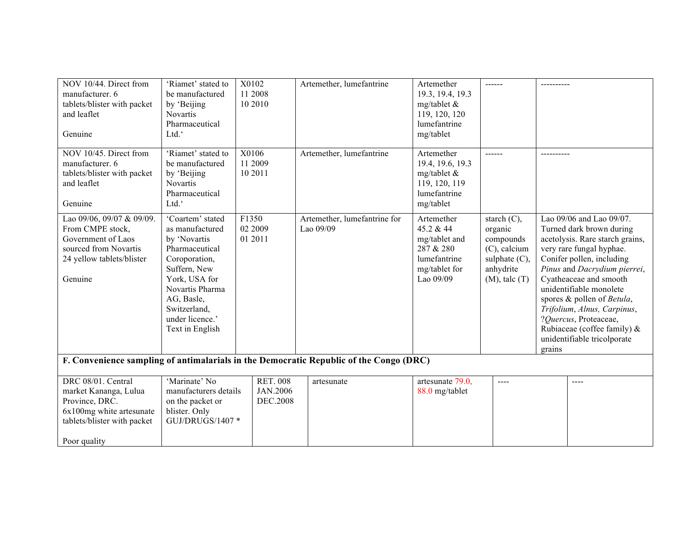| NOV 10/44. Direct from<br>manufacturer. 6<br>tablets/blister with packet<br>and leaflet<br>Genuine                                       | 'Riamet' stated to<br>be manufactured<br>by 'Beijing<br>Novartis<br>Pharmaceutical<br>Ltd."                                                                                                                    | X0102<br>11 2008<br>10 2010             | Artemether, lumefantrine                                                               | Artemether<br>19.3, 19.4, 19.3<br>mg/tablet $\&$<br>119, 120, 120<br>lumefantrine<br>mg/tablet      | ------                                                                                                           |                                                                                                                                                                                                                                                                                                                                                                                                        |
|------------------------------------------------------------------------------------------------------------------------------------------|----------------------------------------------------------------------------------------------------------------------------------------------------------------------------------------------------------------|-----------------------------------------|----------------------------------------------------------------------------------------|-----------------------------------------------------------------------------------------------------|------------------------------------------------------------------------------------------------------------------|--------------------------------------------------------------------------------------------------------------------------------------------------------------------------------------------------------------------------------------------------------------------------------------------------------------------------------------------------------------------------------------------------------|
| NOV 10/45. Direct from<br>manufacturer. 6<br>tablets/blister with packet<br>and leaflet<br>Genuine                                       | 'Riamet' stated to<br>be manufactured<br>by 'Beijing<br><b>Novartis</b><br>Pharmaceutical<br>Ltd."                                                                                                             | X0106<br>11 2009<br>10 20 11            | Artemether, lumefantrine                                                               | Artemether<br>19.4, 19.6, 19.3<br>mg/tablet $\&$<br>119, 120, 119<br>lumefantrine<br>mg/tablet      | $- - - - - -$                                                                                                    | $- - - - - - - -$                                                                                                                                                                                                                                                                                                                                                                                      |
| Lao 09/06, 09/07 & 09/09.<br>From CMPE stock,<br>Government of Laos<br>sourced from Novartis<br>24 yellow tablets/blister<br>Genuine     | 'Coartem' stated<br>as manufactured<br>by 'Novartis<br>Pharmaceutical<br>Coroporation,<br>Suffern, New<br>York, USA for<br>Novartis Pharma<br>AG, Basle,<br>Switzerland,<br>under licence.'<br>Text in English | F1350<br>02 2009<br>01 2011             | Artemether, lumefantrine for<br>Lao 09/09                                              | Artemether<br>45.2 & 44<br>mg/tablet and<br>287 & 280<br>lumefantrine<br>mg/tablet for<br>Lao 09/09 | starch $(C)$ ,<br>organic<br>compounds<br>$(C)$ , calcium<br>sulphate $(C)$ ,<br>anhydrite<br>$(M)$ , talc $(T)$ | Lao 09/06 and Lao 09/07.<br>Turned dark brown during<br>acetolysis. Rare starch grains,<br>very rare fungal hyphae.<br>Conifer pollen, including<br>Pinus and Dacrydium pierrei,<br>Cyatheaceae and smooth<br>unidentifiable monolete<br>spores & pollen of Betula,<br>Trifolium, Alnus, Carpinus,<br>?Quercus, Proteaceae,<br>Rubiaceae (coffee family) $\&$<br>unidentifiable tricolporate<br>grains |
|                                                                                                                                          |                                                                                                                                                                                                                |                                         | F. Convenience sampling of antimalarials in the Democratic Republic of the Congo (DRC) |                                                                                                     |                                                                                                                  |                                                                                                                                                                                                                                                                                                                                                                                                        |
| DRC 08/01. Central<br>market Kananga, Lulua<br>Province, DRC.<br>6x100mg white artesunate<br>tablets/blister with packet<br>Poor quality | 'Marinate' No<br>manufacturers details<br>on the packet or<br>blister. Only<br>GUJ/DRUGS/1407 *                                                                                                                | <b>RET. 008</b><br>JAN.2006<br>DEC.2008 | artesunate                                                                             | artesunate 79.0,<br>88.0 mg/tablet                                                                  | $---$                                                                                                            | ----                                                                                                                                                                                                                                                                                                                                                                                                   |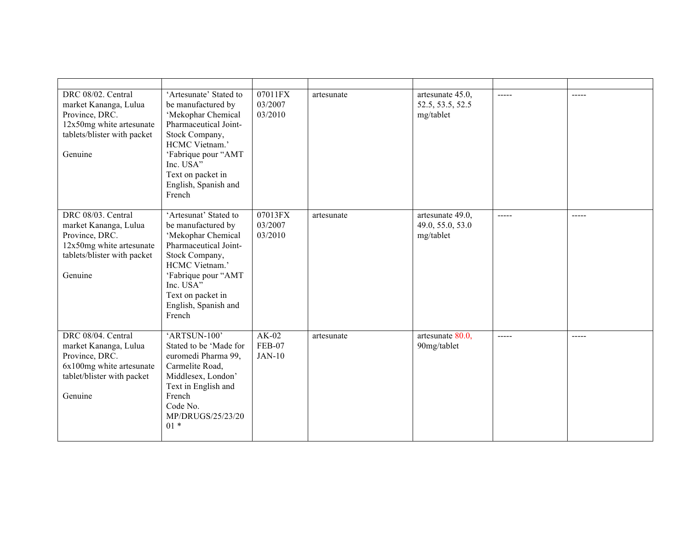| DRC 08/02. Central<br>market Kananga, Lulua<br>Province, DRC.<br>12x50mg white artesunate<br>tablets/blister with packet<br>Genuine   | 'Artesunate' Stated to<br>be manufactured by<br>'Mekophar Chemical<br>Pharmaceutical Joint-<br>Stock Company,<br>HCMC Vietnam.'<br>'Fabrique pour "AMT<br>Inc. USA"<br>Text on packet in<br>English, Spanish and<br>French | $\overline{0701}$ 1FX<br>03/2007<br>03/2010 | artesunate | artesunate 45.0,<br>52.5, 53.5, 52.5<br>mg/tablet | $---$         | -----       |
|---------------------------------------------------------------------------------------------------------------------------------------|----------------------------------------------------------------------------------------------------------------------------------------------------------------------------------------------------------------------------|---------------------------------------------|------------|---------------------------------------------------|---------------|-------------|
| DRC 08/03. Central<br>market Kananga, Lulua<br>Province, DRC.<br>$12x50mg$ white artesunate<br>tablets/blister with packet<br>Genuine | 'Artesunat' Stated to<br>be manufactured by<br>'Mekophar Chemical<br>Pharmaceutical Joint-<br>Stock Company,<br>HCMC Vietnam.'<br>'Fabrique pour "AMT<br>Inc. USA"<br>Text on packet in<br>English, Spanish and<br>French  | 07013FX<br>03/2007<br>03/2010               | artesunate | artesunate 49.0,<br>49.0, 55.0, 53.0<br>mg/tablet | $\frac{1}{2}$ | $- - - - -$ |
| DRC 08/04. Central<br>market Kananga, Lulua<br>Province, DRC.<br>6x100mg white artesunate<br>tablet/blister with packet<br>Genuine    | 'ARTSUN-100'<br>Stated to be 'Made for<br>euromedi Pharma 99,<br>Carmelite Road,<br>Middlesex, London'<br>Text in English and<br>French<br>Code No.<br>MP/DRUGS/25/23/20<br>$01*$                                          | $AK-02$<br>FEB-07<br><b>JAN-10</b>          | artesunate | artesunate 80.0,<br>90mg/tablet                   | $---$         | $---$       |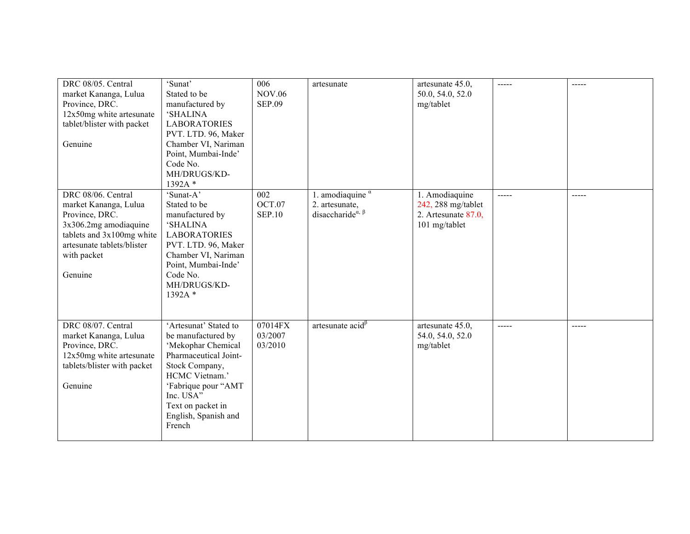| DRC 08/05. Central<br>market Kananga, Lulua<br>Province, DRC.<br>12x50mg white artesunate<br>tablet/blister with packet<br>Genuine                                          | 'Sunat'<br>Stated to be<br>manufactured by<br><b>SHALINA</b><br><b>LABORATORIES</b><br>PVT. LTD. 96, Maker<br>Chamber VI, Nariman<br>Point, Mumbai-Inde'<br>Code No.<br>MH/DRUGS/KD-<br>1392A*                            | 006<br><b>NOV.06</b><br><b>SEP.09</b> | artesunate                                                                                           | artesunate 45.0,<br>50.0, 54.0, 52.0<br>mg/tablet                               | -----       | -----       |
|-----------------------------------------------------------------------------------------------------------------------------------------------------------------------------|---------------------------------------------------------------------------------------------------------------------------------------------------------------------------------------------------------------------------|---------------------------------------|------------------------------------------------------------------------------------------------------|---------------------------------------------------------------------------------|-------------|-------------|
| DRC 08/06. Central<br>market Kananga, Lulua<br>Province, DRC.<br>3x306.2mg amodiaquine<br>tablets and 3x100mg white<br>artesunate tablets/blister<br>with packet<br>Genuine | 'Sunat-A'<br>Stated to be<br>manufactured by<br><b>SHALINA</b><br><b>LABORATORIES</b><br>PVT. LTD. 96, Maker<br>Chamber VI, Nariman<br>Point, Mumbai-Inde'<br>Code No.<br>MH/DRUGS/KD-<br>1392A*                          | 002<br>OCT.07<br><b>SEP.10</b>        | . amodiaquine a<br>2. artesunate,<br>disaccharide <sup><math>\alpha</math>, <math>\beta</math></sup> | 1. Amodiaquine<br>242, 288 mg/tablet<br>2. Artesunate $87.0$ ,<br>101 mg/tablet | -----       | -----       |
| DRC 08/07. Central<br>market Kananga, Lulua<br>Province, DRC.<br>12x50mg white artesunate<br>tablets/blister with packet<br>Genuine                                         | 'Artesunat' Stated to<br>be manufactured by<br>'Mekophar Chemical<br>Pharmaceutical Joint-<br>Stock Company,<br>HCMC Vietnam.'<br>'Fabrique pour "AMT<br>Inc. USA"<br>Text on packet in<br>English, Spanish and<br>French | 07014FX<br>03/2007<br>03/2010         | artesunate $\text{acid}^{\beta}$                                                                     | artesunate 45.0,<br>54.0, 54.0, 52.0<br>mg/tablet                               | $- - - - -$ | $- - - - -$ |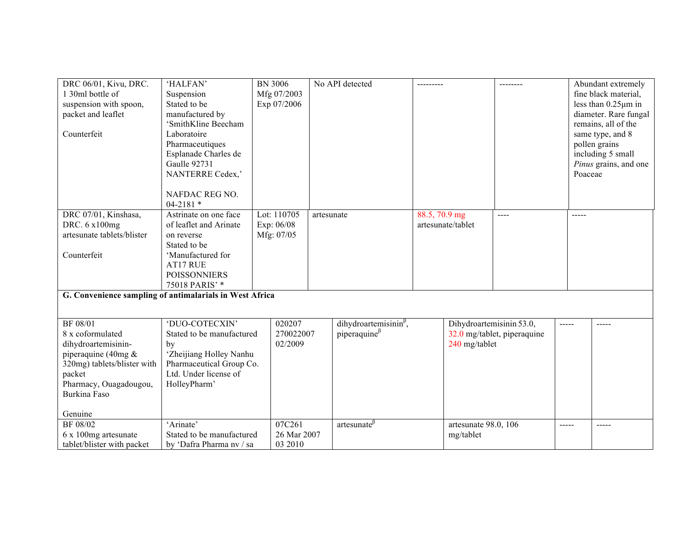| DRC 06/01, Kivu, DRC.<br>1 30ml bottle of<br>suspension with spoon,                                                                                                     | 'HALFAN'<br>Suspension<br>Stated to be                                                                                                            | <b>BN 3006</b><br>Mfg 07/2003<br>Exp 07/2006 | No API detected                                     |               |                                           | --------                    |       | Abundant extremely<br>fine black material,<br>less than $0.25 \mu m$ in                                           |
|-------------------------------------------------------------------------------------------------------------------------------------------------------------------------|---------------------------------------------------------------------------------------------------------------------------------------------------|----------------------------------------------|-----------------------------------------------------|---------------|-------------------------------------------|-----------------------------|-------|-------------------------------------------------------------------------------------------------------------------|
| packet and leaflet                                                                                                                                                      | manufactured by                                                                                                                                   |                                              |                                                     |               |                                           |                             |       | diameter. Rare fungal                                                                                             |
| Counterfeit                                                                                                                                                             | 'SmithKline Beecham<br>Laboratoire<br>Pharmaceutiques<br>Esplanade Charles de<br><b>Gaulle 92731</b><br>NANTERRE Cedex,'                          |                                              |                                                     |               |                                           |                             |       | remains, all of the<br>same type, and 8<br>pollen grains<br>including 5 small<br>Pinus grains, and one<br>Poaceae |
|                                                                                                                                                                         | NAFDAC REG NO.<br>$04 - 2181$ *                                                                                                                   |                                              |                                                     |               |                                           |                             |       |                                                                                                                   |
| DRC 07/01, Kinshasa,<br>DRC. 6 x100mg<br>artesunate tablets/blister                                                                                                     | Astrinate on one face<br>of leaflet and Arinate<br>on reverse<br>Stated to be                                                                     | Lot: 110705<br>Exp: 06/08<br>Mfg: 07/05      | artesunate                                          | 88.5, 70.9 mg | artesunate/tablet                         | $---$                       | ----- |                                                                                                                   |
| Counterfeit                                                                                                                                                             | 'Manufactured for<br>AT17 RUE<br><b>POISSONNIERS</b><br>75018 PARIS' *                                                                            |                                              |                                                     |               |                                           |                             |       |                                                                                                                   |
| G. Convenience sampling of antimalarials in West Africa                                                                                                                 |                                                                                                                                                   |                                              |                                                     |               |                                           |                             |       |                                                                                                                   |
|                                                                                                                                                                         |                                                                                                                                                   |                                              |                                                     |               |                                           |                             |       |                                                                                                                   |
| <b>BF 08/01</b><br>8 x coformulated<br>dihydroartemisinin-<br>piperaquine (40mg $\&$<br>320mg) tablets/blister with<br>packet<br>Pharmacy, Ouagadougou,<br>Burkina Faso | 'DUO-COTECXIN'<br>Stated to be manufactured<br>by<br>'Zheijiang Holley Nanhu<br>Pharmaceutical Group Co.<br>Ltd. Under license of<br>HolleyPharm' | 020207<br>270022007<br>02/2009               | dihydroartemisinin $\beta$ ,<br>piperaquine $\beta$ |               | Dihydroartemisinin 53.0,<br>240 mg/tablet | 32.0 mg/tablet, piperaquine | ----- | -----                                                                                                             |
| Genuine                                                                                                                                                                 |                                                                                                                                                   |                                              |                                                     |               |                                           |                             |       |                                                                                                                   |
| BF 08/02<br>6 x 100mg artesunate<br>tablet/blister with packet                                                                                                          | 'Arinate'<br>Stated to be manufactured<br>by 'Dafra Pharma nv / sa                                                                                | 07C261<br>26 Mar 2007<br>03 2010             | artesunate <sup>p</sup>                             |               | artesunate 98.0, 106<br>mg/tablet         |                             | ----- | -----                                                                                                             |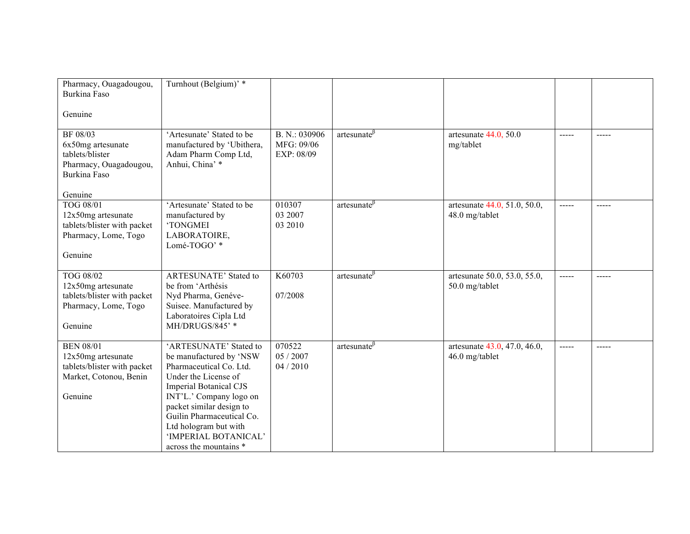| Pharmacy, Ouagadougou,<br>Burkina Faso<br>Genuine                                                          | Turnhout (Belgium)' *                                                                                                                                                                                                                                                                                |                                           |                    |                                                |                                                                                                                                                                                                                                                                                                                                                                                                                                                                                        |               |
|------------------------------------------------------------------------------------------------------------|------------------------------------------------------------------------------------------------------------------------------------------------------------------------------------------------------------------------------------------------------------------------------------------------------|-------------------------------------------|--------------------|------------------------------------------------|----------------------------------------------------------------------------------------------------------------------------------------------------------------------------------------------------------------------------------------------------------------------------------------------------------------------------------------------------------------------------------------------------------------------------------------------------------------------------------------|---------------|
| BF 08/03<br>6x50mg artesunate<br>tablets/blister<br>Pharmacy, Ouagadougou,<br>Burkina Faso<br>Genuine      | 'Artesunate' Stated to be<br>manufactured by 'Ubithera,<br>Adam Pharm Comp Ltd,<br>Anhui, China' *                                                                                                                                                                                                   | B. N.: 030906<br>MFG: 09/06<br>EXP: 08/09 | artesunate $\beta$ | artesunate $44.0, 50.0$<br>mg/tablet           | $\frac{1}{2}$                                                                                                                                                                                                                                                                                                                                                                                                                                                                          | $\frac{1}{2}$ |
| TOG 08/01<br>12x50mg artesunate<br>tablets/blister with packet<br>Pharmacy, Lome, Togo<br>Genuine          | 'Artesunate' Stated to be<br>manufactured by<br>'TONGMEI<br>LABORATOIRE,<br>Lomé-TOGO'*                                                                                                                                                                                                              | 010307<br>03 2007<br>03 2010              | artesunate $\beta$ | artesunate 44.0, 51.0, 50.0,<br>48.0 mg/tablet | $\begin{array}{cccccccccc} \multicolumn{2}{c}{} & \multicolumn{2}{c}{} & \multicolumn{2}{c}{} & \multicolumn{2}{c}{} & \multicolumn{2}{c}{} & \multicolumn{2}{c}{} & \multicolumn{2}{c}{} & \multicolumn{2}{c}{} & \multicolumn{2}{c}{} & \multicolumn{2}{c}{} & \multicolumn{2}{c}{} & \multicolumn{2}{c}{} & \multicolumn{2}{c}{} & \multicolumn{2}{c}{} & \multicolumn{2}{c}{} & \multicolumn{2}{c}{} & \multicolumn{2}{c}{} & \multicolumn{2}{c}{} & \multicolumn{2}{c}{} & \mult$ | $\frac{1}{2}$ |
| TOG 08/02<br>12x50mg artesunate<br>tablets/blister with packet<br>Pharmacy, Lome, Togo<br>Genuine          | <b>ARTESUNATE' Stated to</b><br>be from 'Arthésis<br>Nyd Pharma, Genéve-<br>Suisee. Manufactured by<br>Laboratoires Cipla Ltd<br>MH/DRUGS/845' *                                                                                                                                                     | K60703<br>07/2008                         | artesunate $\beta$ | artesunate 50.0, 53.0, 55.0,<br>50.0 mg/tablet | $\frac{1}{2}$                                                                                                                                                                                                                                                                                                                                                                                                                                                                          | -----         |
| <b>BEN 08/01</b><br>12x50mg artesunate<br>tablets/blister with packet<br>Market, Cotonou, Benin<br>Genuine | 'ARTESUNATE' Stated to<br>be manufactured by 'NSW<br>Pharmaceutical Co. Ltd.<br>Under the License of<br><b>Imperial Botanical CJS</b><br>INT'L.' Company logo on<br>packet similar design to<br>Guilin Pharmaceutical Co.<br>Ltd hologram but with<br>'IMPERIAL BOTANICAL'<br>across the mountains * | 070522<br>05 / 2007<br>04/2010            | artesunate $\beta$ | artesunate 43.0, 47.0, 46.0,<br>46.0 mg/tablet | $\frac{1}{2}$                                                                                                                                                                                                                                                                                                                                                                                                                                                                          |               |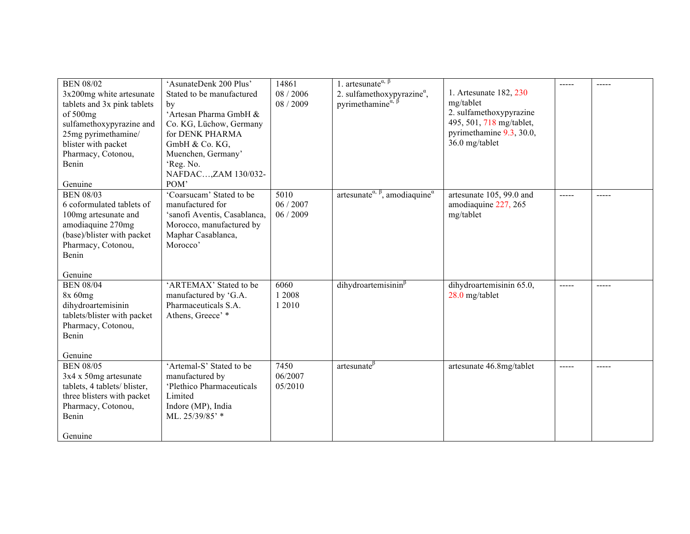| <b>BEN 08/02</b><br>$3x200$ mg white artesunate<br>tablets and 3x pink tablets<br>of 500mg<br>sulfamethoxypyrazine and<br>25mg pyrimethamine/<br>blister with packet<br>Pharmacy, Cotonou,<br>Benin<br>Genuine | 'AsunateDenk 200 Plus'<br>Stated to be manufactured<br>by<br>'Artesan Pharma GmbH &<br>Co. KG, Lüchow, Germany<br>for DENK PHARMA<br>GmbH & Co. KG,<br>Muenchen, Germany'<br>'Reg. No.<br>NAFDAC,ZAM 130/032-<br>POM' | 14861<br>08 / 2006<br>08 / 2009 | 1. artesunate <sup><math>\alpha</math>, <math>\beta</math></sup><br>2. sulfamethoxypyrazine $\alpha$ ,<br>pyrimethamine $\alpha$ , $\beta$ | 1. Artesunate 182, 230<br>mg/tablet<br>2. sulfamethoxypyrazine<br>495, 501, 718 mg/tablet,<br>pyrimethamine 9.3, 30.0,<br>36.0 mg/tablet | -----         |             |
|----------------------------------------------------------------------------------------------------------------------------------------------------------------------------------------------------------------|-----------------------------------------------------------------------------------------------------------------------------------------------------------------------------------------------------------------------|---------------------------------|--------------------------------------------------------------------------------------------------------------------------------------------|------------------------------------------------------------------------------------------------------------------------------------------|---------------|-------------|
| <b>BEN 08/03</b><br>6 coformulated tablets of<br>100mg artesunate and<br>amodiaquine 270mg<br>(base)/blister with packet<br>Pharmacy, Cotonou,<br>Benin<br>Genuine                                             | 'Coarsucam' Stated to be<br>manufactured for<br>'sanofi Aventis, Casablanca,<br>Morocco, manufactured by<br>Maphar Casablanca,<br>Morocco'                                                                            | 5010<br>06 / 2007<br>06/2009    | artesunate <sup><math>\alpha</math>, <math>\beta</math></sup> , amodiaquine <sup><math>\alpha</math></sup>                                 | artesunate 105, 99.0 and<br>amodiaquine 227, 265<br>mg/tablet                                                                            | $\frac{1}{2}$ | $- - - - -$ |
| <b>BEN 08/04</b><br>8x 60mg<br>dihydroartemisinin<br>tablets/blister with packet<br>Pharmacy, Cotonou,<br>Benin<br>Genuine                                                                                     | 'ARTEMAX' Stated to be<br>manufactured by 'G.A.<br>Pharmaceuticals S.A.<br>Athens, Greece'*                                                                                                                           | 6060<br>1 2008<br>1 2010        | dihydroartemisinin $\beta$                                                                                                                 | dihydroartemisinin 65.0,<br>28.0 mg/tablet                                                                                               | $- - - - -$   | -----       |
| <b>BEN 08/05</b><br>$3x4 \times 50mg$ artesunate<br>tablets, 4 tablets/ blister,<br>three blisters with packet<br>Pharmacy, Cotonou,<br>Benin<br>Genuine                                                       | 'Artemal-S' Stated to be<br>manufactured by<br>'Plethico Pharmaceuticals<br>Limited<br>Indore (MP), India<br>ML. 25/39/85' *                                                                                          | 7450<br>06/2007<br>05/2010      | artesunate $\beta$                                                                                                                         | artesunate 46.8mg/tablet                                                                                                                 | $\frac{1}{2}$ |             |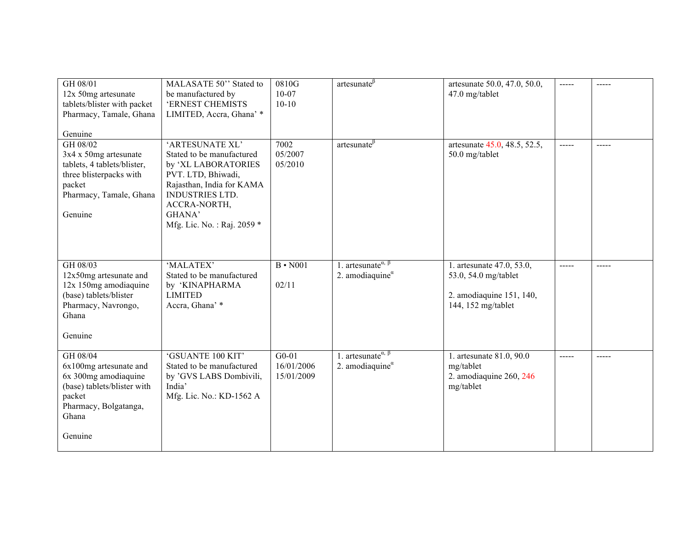| GH 08/01<br>12x 50mg artesunate<br>tablets/blister with packet<br>Pharmacy, Tamale, Ghana                                                                     | MALASATE 50" Stated to<br>be manufactured by<br>'ERNEST CHEMISTS<br>LIMITED, Accra, Ghana' *                                                                                                             | 0810G<br>$10-07$<br>$10 - 10$       | artesunate $\beta$                                                                          | artesunate 50.0, 47.0, 50.0,<br>47.0 mg/tablet                                                      | -----                                                                                                                                                                                                                                                                                                                                                                                                                                                                      | $\frac{1}{2}$ |
|---------------------------------------------------------------------------------------------------------------------------------------------------------------|----------------------------------------------------------------------------------------------------------------------------------------------------------------------------------------------------------|-------------------------------------|---------------------------------------------------------------------------------------------|-----------------------------------------------------------------------------------------------------|----------------------------------------------------------------------------------------------------------------------------------------------------------------------------------------------------------------------------------------------------------------------------------------------------------------------------------------------------------------------------------------------------------------------------------------------------------------------------|---------------|
| Genuine<br>GH 08/02<br>$3x4 \times 50mg$ artesunate<br>tablets, 4 tablets/blister,<br>three blisterpacks with<br>packet<br>Pharmacy, Tamale, Ghana<br>Genuine | 'ARTESUNATE XL'<br>Stated to be manufactured<br>by 'XL LABORATORIES<br>PVT. LTD, Bhiwadi,<br>Rajasthan, India for KAMA<br><b>INDUSTRIES LTD.</b><br>ACCRA-NORTH,<br>GHANA'<br>Mfg. Lic. No.: Raj. 2059 * | 7002<br>05/2007<br>05/2010          | artesunate $\beta$                                                                          | artesunate 45.0, 48.5, 52.5,<br>50.0 mg/tablet                                                      | $\frac{1}{2} \left( \frac{1}{2} \right) \left( \frac{1}{2} \right) \left( \frac{1}{2} \right) \left( \frac{1}{2} \right) \left( \frac{1}{2} \right) \left( \frac{1}{2} \right) \left( \frac{1}{2} \right) \left( \frac{1}{2} \right) \left( \frac{1}{2} \right) \left( \frac{1}{2} \right) \left( \frac{1}{2} \right) \left( \frac{1}{2} \right) \left( \frac{1}{2} \right) \left( \frac{1}{2} \right) \left( \frac{1}{2} \right) \left( \frac{1}{2} \right) \left( \frac$ | $- - - - -$   |
| GH 08/03<br>12x50mg artesunate and<br>12x 150mg amodiaquine<br>(base) tablets/blister<br>Pharmacy, Navrongo,<br>Ghana<br>Genuine                              | 'MALATEX'<br>Stated to be manufactured<br>by 'KINAPHARMA<br><b>LIMITED</b><br>Accra, Ghana' *                                                                                                            | $B \cdot N001$<br>02/11             | 1. artesunate <sup><math>\alpha</math>, <math>\beta</math></sup><br>2. amodiaquine $\alpha$ | 1. artesunate 47.0, 53.0,<br>53.0, 54.0 mg/tablet<br>2. amodiaquine 151, 140,<br>144, 152 mg/tablet | $\frac{1}{2}$                                                                                                                                                                                                                                                                                                                                                                                                                                                              | $- - - - -$   |
| GH 08/04<br>6x100mg artesunate and<br>6x 300mg amodiaquine<br>(base) tablets/blister with<br>packet<br>Pharmacy, Bolgatanga,<br>Ghana<br>Genuine              | 'GSUANTE 100 KIT'<br>Stated to be manufactured<br>by 'GVS LABS Dombivili,<br>India'<br>Mfg. Lic. No.: KD-1562 A                                                                                          | $G0-01$<br>16/01/2006<br>15/01/2009 | 1. artesunate <sup><math>\alpha</math>, <math>\beta</math></sup><br>2. amodiaquine $\alpha$ | 1. artesunate 81.0, 90.0<br>mg/tablet<br>2. amodiaquine 260, 246<br>mg/tablet                       | -----                                                                                                                                                                                                                                                                                                                                                                                                                                                                      | -----         |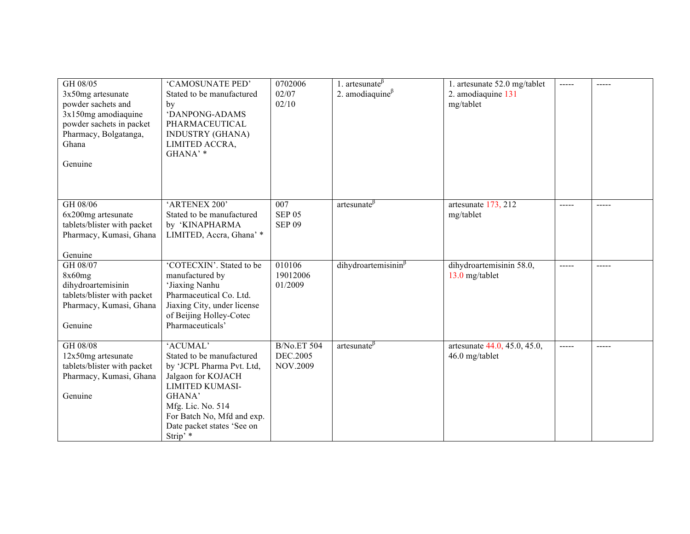| GH 08/05<br>$3x50$ mg artesunate<br>powder sachets and<br>3x150mg amodiaquine<br>powder sachets in packet<br>Pharmacy, Bolgatanga,<br>Ghana<br>Genuine | 'CAMOSUNATE PED'<br>Stated to be manufactured<br>by<br>'DANPONG-ADAMS<br>PHARMACEUTICAL<br><b>INDUSTRY (GHANA)</b><br>LIMITED ACCRA,<br>GHANA' *                                                                          | 0702006<br>02/07<br>02/10                         | 1. artesunate $\beta$<br>2. amodiaquine $\beta$ | 1. artesunate 52.0 mg/tablet<br>2. amodiaquine 131<br>mg/tablet | $\frac{1}{2}$                                                                                                                                                                                                                                                                                                                                                                                                                                                              |           |
|--------------------------------------------------------------------------------------------------------------------------------------------------------|---------------------------------------------------------------------------------------------------------------------------------------------------------------------------------------------------------------------------|---------------------------------------------------|-------------------------------------------------|-----------------------------------------------------------------|----------------------------------------------------------------------------------------------------------------------------------------------------------------------------------------------------------------------------------------------------------------------------------------------------------------------------------------------------------------------------------------------------------------------------------------------------------------------------|-----------|
| GH 08/06<br>6x200mg artesunate<br>tablets/blister with packet<br>Pharmacy, Kumasi, Ghana<br>Genuine                                                    | 'ARTENEX 200'<br>Stated to be manufactured<br>by 'KINAPHARMA<br>LIMITED, Accra, Ghana' *                                                                                                                                  | 007<br><b>SEP 05</b><br><b>SEP 09</b>             | artesunate $\beta$                              | artesunate 173, 212<br>mg/tablet                                | $\frac{1}{2}$                                                                                                                                                                                                                                                                                                                                                                                                                                                              | ------    |
| GH 08/07<br>8x60mg<br>dihydroartemisinin<br>tablets/blister with packet<br>Pharmacy, Kumasi, Ghana<br>Genuine                                          | 'COTECXIN'. Stated to be<br>manufactured by<br>'Jiaxing Nanhu<br>Pharmaceutical Co. Ltd.<br>Jiaxing City, under license<br>of Beijing Holley-Cotec<br>Pharmaceuticals'                                                    | 010106<br>19012006<br>01/2009                     | $dihydroartemisinin\beta$                       | dihydroartemisinin 58.0,<br>13.0 mg/tablet                      | -----                                                                                                                                                                                                                                                                                                                                                                                                                                                                      |           |
| GH 08/08<br>12x50mg artesunate<br>tablets/blister with packet<br>Pharmacy, Kumasi, Ghana<br>Genuine                                                    | 'ACUMAL'<br>Stated to be manufactured<br>by 'JCPL Pharma Pvt. Ltd,<br>Jalgaon for KOJACH<br><b>LIMITED KUMASI-</b><br>GHANA'<br>Mfg. Lic. No. 514<br>For Batch No, Mfd and exp.<br>Date packet states 'See on<br>Strip' * | <b>B/No.ET 504</b><br>DEC.2005<br><b>NOV.2009</b> | $artesunate^{\beta}$                            | artesunate 44.0, 45.0, 45.0,<br>46.0 mg/tablet                  | $\frac{1}{2} \left( \frac{1}{2} \right) \left( \frac{1}{2} \right) \left( \frac{1}{2} \right) \left( \frac{1}{2} \right) \left( \frac{1}{2} \right) \left( \frac{1}{2} \right) \left( \frac{1}{2} \right) \left( \frac{1}{2} \right) \left( \frac{1}{2} \right) \left( \frac{1}{2} \right) \left( \frac{1}{2} \right) \left( \frac{1}{2} \right) \left( \frac{1}{2} \right) \left( \frac{1}{2} \right) \left( \frac{1}{2} \right) \left( \frac{1}{2} \right) \left( \frac$ | $--- - -$ |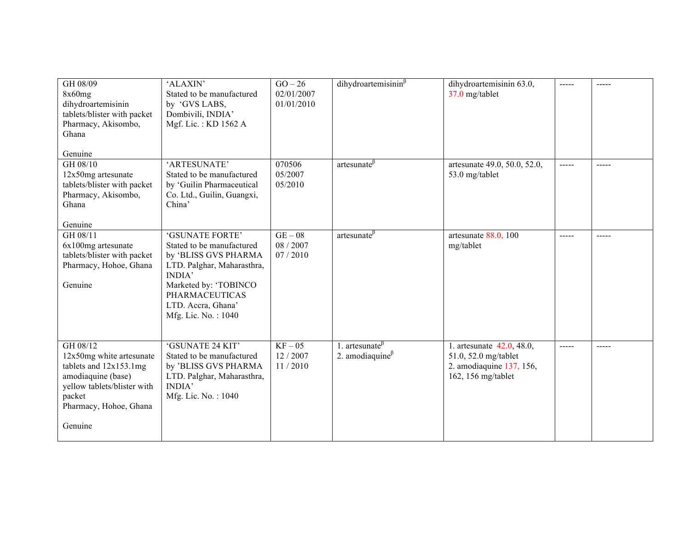| GH 08/09<br>8x60mg<br>dihydroartemisinin<br>tablets/blister with packet<br>Pharmacy, Akisombo,<br>Ghana<br>Genuine                                                   | 'ALAXIN'<br>Stated to be manufactured<br>by 'GVS LABS,<br>Dombivili, INDIA'<br>Mgf. Lic.: KD 1562 A                                                                                                                 | $GO-26$<br>02/01/2007<br>01/01/2010 | $dihydroartemisinin\beta$                       | dihydroartemisinin 63.0,<br>37.0 mg/tablet                                                          | ----- |       |
|----------------------------------------------------------------------------------------------------------------------------------------------------------------------|---------------------------------------------------------------------------------------------------------------------------------------------------------------------------------------------------------------------|-------------------------------------|-------------------------------------------------|-----------------------------------------------------------------------------------------------------|-------|-------|
| GH 08/10<br>12x50mg artesunate<br>tablets/blister with packet<br>Pharmacy, Akisombo,<br>Ghana<br>Genuine                                                             | 'ARTESUNATE'<br>Stated to be manufactured<br>by 'Guilin Pharmaceutical<br>Co. Ltd., Guilin, Guangxi,<br>China'                                                                                                      | 070506<br>05/2007<br>05/2010        | artesunate <sup>p</sup>                         | artesunate 49.0, 50.0, 52.0,<br>53.0 mg/tablet                                                      | ----- | ----- |
| GH 08/11<br>6x100mg artesunate<br>tablets/blister with packet<br>Pharmacy, Hohoe, Ghana<br>Genuine                                                                   | 'GSUNATE FORTE'<br>Stated to be manufactured<br>by 'BLISS GVS PHARMA<br>LTD. Palghar, Maharasthra,<br><b>INDIA</b> '<br>Marketed by: 'TOBINCO<br><b>PHARMACEUTICAS</b><br>LTD. Accra, Ghana'<br>Mfg. Lic. No.: 1040 | $GE-08$<br>08 / 2007<br>07/2010     | artesunate $\beta$                              | artesunate $88.0$ , 100<br>mg/tablet                                                                | ----- | ----- |
| GH 08/12<br>12x50mg white artesunate<br>tablets and $12x153.1mg$<br>amodiaquine (base)<br>yellow tablets/blister with<br>packet<br>Pharmacy, Hohoe, Ghana<br>Genuine | 'GSUNATE 24 KIT'<br>Stated to be manufactured<br>by 'BLISS GVS PHARMA<br>LTD. Palghar, Maharasthra,<br><b>INDIA</b> '<br>Mfg. Lic. No.: 1040                                                                        | $KF-05$<br>12/2007<br>11/2010       | 1. artesunate $\beta$<br>2. amodiaquine $\beta$ | 1. artesunate 42.0, 48.0,<br>51.0, 52.0 mg/tablet<br>2. amodiaquine 137, 156,<br>162, 156 mg/tablet | ----- | ----- |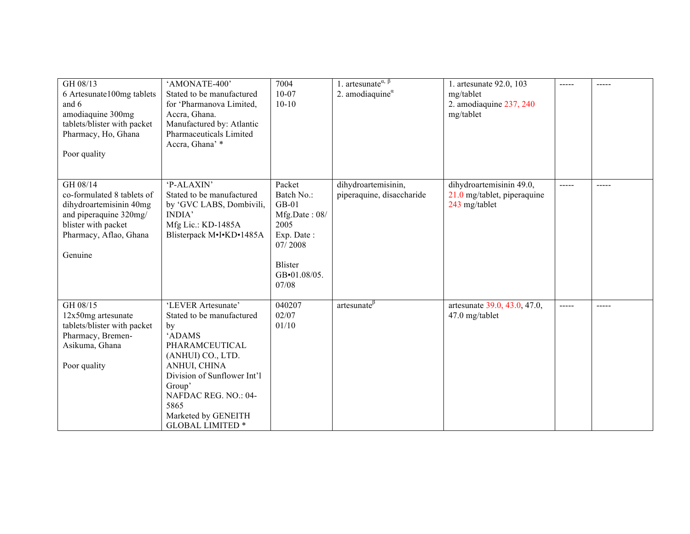| GH 08/13<br>6 Artesunate100mg tablets<br>and 6<br>amodiaquine 300mg<br>tablets/blister with packet<br>Pharmacy, Ho, Ghana<br>Poor quality               | 'AMONATE-400'<br>Stated to be manufactured<br>for 'Pharmanova Limited,<br>Accra, Ghana.<br>Manufactured by: Atlantic<br>Pharmaceuticals Limited<br>Accra, Ghana' *                                                                                | 7004<br>$10-07$<br>$10 - 10$                                                                                                 | 1. artesunate <sup><math>\alpha</math>, <math>\beta</math></sup><br>2. amodiaquine $\alpha$ | 1. artesunate 92.0, 103<br>mg/tablet<br>2. amodiaquine 237, 240<br>mg/tablet | -----    | ----- |
|---------------------------------------------------------------------------------------------------------------------------------------------------------|---------------------------------------------------------------------------------------------------------------------------------------------------------------------------------------------------------------------------------------------------|------------------------------------------------------------------------------------------------------------------------------|---------------------------------------------------------------------------------------------|------------------------------------------------------------------------------|----------|-------|
| GH 08/14<br>co-formulated 8 tablets of<br>dihydroartemisinin 40mg<br>and piperaquine 320mg/<br>blister with packet<br>Pharmacy, Aflao, Ghana<br>Genuine | 'P-ALAXIN'<br>Stated to be manufactured<br>by 'GVC LABS, Dombivili,<br><b>INDIA</b> '<br>Mfg Lic.: KD-1485A<br>Blisterpack M.I.KD.1485A                                                                                                           | Packet<br>Batch No.:<br>$GB-01$<br>Mfg.Date: 08/<br>2005<br>Exp. Date:<br>07/2008<br><b>Blister</b><br>GB.01.08/05.<br>07/08 | dihydroartemisinin,<br>piperaquine, disaccharide                                            | dihydroartemisinin 49.0,<br>21.0 mg/tablet, piperaquine<br>243 mg/tablet     | -----    | ----- |
| GH 08/15<br>12x50mg artesunate<br>tablets/blister with packet<br>Pharmacy, Bremen-<br>Asikuma, Ghana<br>Poor quality                                    | 'LEVER Artesunate'<br>Stated to be manufactured<br>by<br>'ADAMS<br>PHARAMCEUTICAL<br>(ANHUI) CO., LTD.<br>ANHUI, CHINA<br>Division of Sunflower Int'l<br>Group'<br>NAFDAC REG. NO.: 04-<br>5865<br>Marketed by GENEITH<br><b>GLOBAL LIMITED *</b> | 040207<br>02/07<br>01/10                                                                                                     | $artesunate^{\beta}$                                                                        | artesunate 39.0, 43.0, 47.0,<br>47.0 mg/tablet                               | $\cdots$ | ----- |